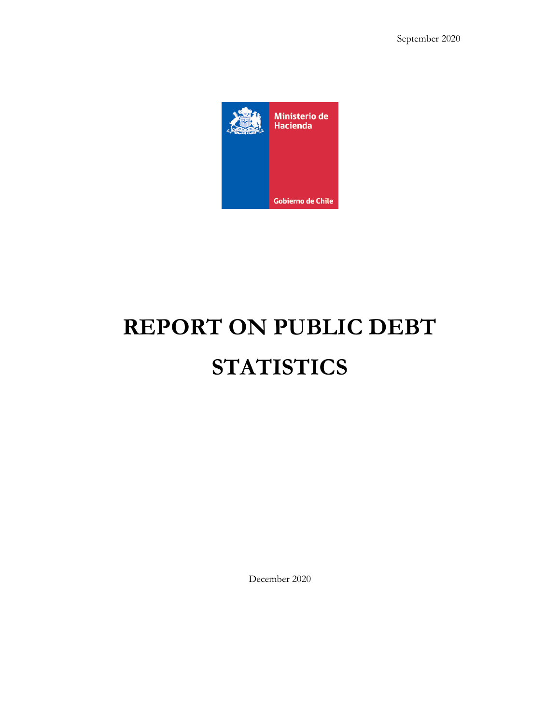September 2020



# **REPORT ON PUBLIC DEBT STATISTICS**

December 2020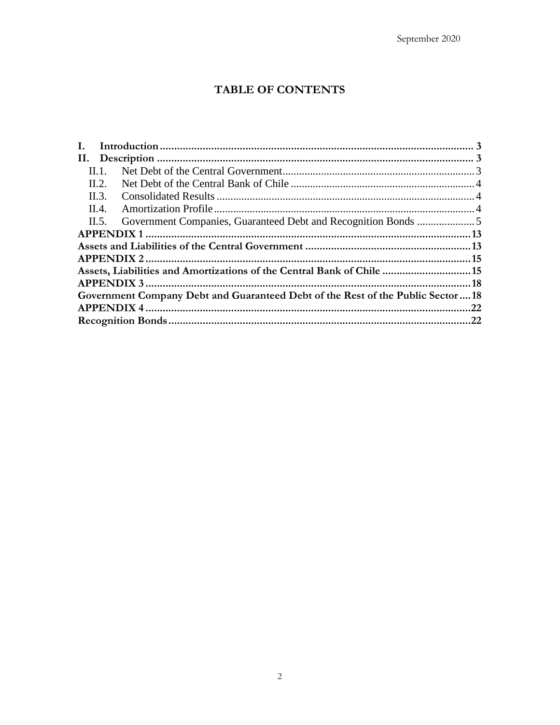# TABLE OF CONTENTS

| Н. 1.<br>$\text{II}.2.$<br>II.3.<br>II.4.<br>$\Pi$ . 5.<br>Assets, Liabilities and Amortizations of the Central Bank of Chile  15<br>Government Company Debt and Guaranteed Debt of the Rest of the Public Sector18 |  |
|---------------------------------------------------------------------------------------------------------------------------------------------------------------------------------------------------------------------|--|
|                                                                                                                                                                                                                     |  |
|                                                                                                                                                                                                                     |  |
|                                                                                                                                                                                                                     |  |
|                                                                                                                                                                                                                     |  |
|                                                                                                                                                                                                                     |  |
|                                                                                                                                                                                                                     |  |
|                                                                                                                                                                                                                     |  |
|                                                                                                                                                                                                                     |  |
|                                                                                                                                                                                                                     |  |
|                                                                                                                                                                                                                     |  |
|                                                                                                                                                                                                                     |  |
|                                                                                                                                                                                                                     |  |
|                                                                                                                                                                                                                     |  |
|                                                                                                                                                                                                                     |  |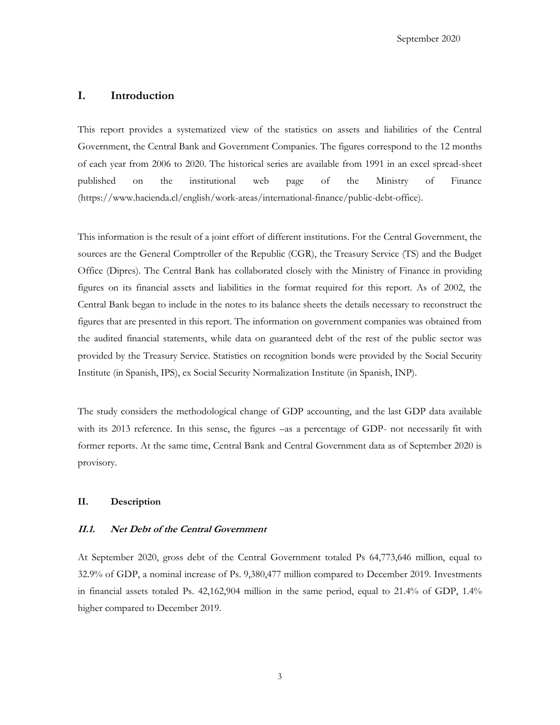## <span id="page-2-0"></span>**I. Introduction**

This report provides a systematized view of the statistics on assets and liabilities of the Central Government, the Central Bank and Government Companies. The figures correspond to the 12 months of each year from 2006 to 2020. The historical series are available from 1991 in an excel spread-sheet published on the institutional web page of the Ministry of Finance (https://www.hacienda.cl/english/work-areas/international-finance/public-debt-office).

This information is the result of a joint effort of different institutions. For the Central Government, the sources are the General Comptroller of the Republic (CGR), the Treasury Service (TS) and the Budget Office (Dipres). The Central Bank has collaborated closely with the Ministry of Finance in providing figures on its financial assets and liabilities in the format required for this report. As of 2002, the Central Bank began to include in the notes to its balance sheets the details necessary to reconstruct the figures that are presented in this report. The information on government companies was obtained from the audited financial statements, while data on guaranteed debt of the rest of the public sector was provided by the Treasury Service. Statistics on recognition bonds were provided by the Social Security Institute (in Spanish, IPS), ex Social Security Normalization Institute (in Spanish, INP).

The study considers the methodological change of GDP accounting, and the last GDP data available with its 2013 reference. In this sense, the figures –as a percentage of GDP- not necessarily fit with former reports. At the same time, Central Bank and Central Government data as of September 2020 is provisory.

### <span id="page-2-1"></span>**II. Description**

#### <span id="page-2-2"></span>**II.1. Net Debt of the Central Government**

At September 2020, gross debt of the Central Government totaled Ps 64,773,646 million, equal to 32.9% of GDP, a nominal increase of Ps. 9,380,477 million compared to December 2019. Investments in financial assets totaled Ps. 42,162,904 million in the same period, equal to 21.4% of GDP, 1.4% higher compared to December 2019.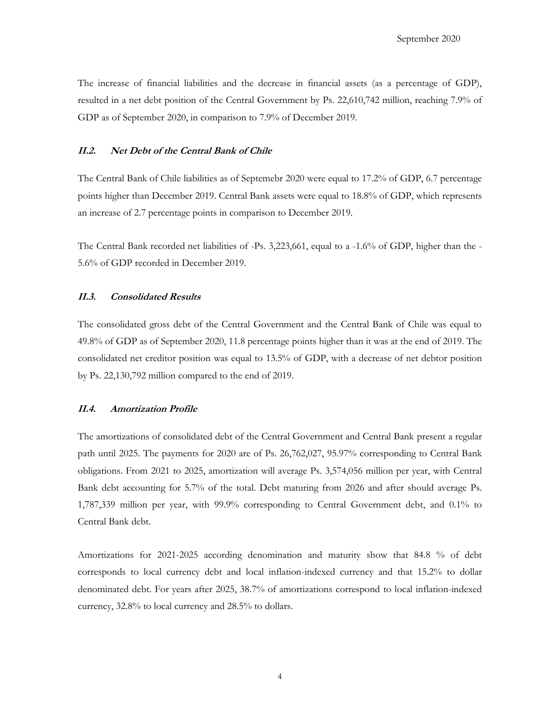The increase of financial liabilities and the decrease in financial assets (as a percentage of GDP), resulted in a net debt position of the Central Government by Ps. 22,610,742 million, reaching 7.9% of GDP as of September 2020, in comparison to 7.9% of December 2019.

## <span id="page-3-0"></span>**II.2. Net Debt of the Central Bank of Chile**

The Central Bank of Chile liabilities as of Septemebr 2020 were equal to 17.2% of GDP, 6.7 percentage points higher than December 2019. Central Bank assets were equal to 18.8% of GDP, which represents an increase of 2.7 percentage points in comparison to December 2019.

The Central Bank recorded net liabilities of -Ps. 3,223,661, equal to a -1.6% of GDP, higher than the - 5.6% of GDP recorded in December 2019.

## <span id="page-3-1"></span>**II.3. Consolidated Results**

The consolidated gross debt of the Central Government and the Central Bank of Chile was equal to 49.8% of GDP as of September 2020, 11.8 percentage points higher than it was at the end of 2019. The consolidated net creditor position was equal to 13.5% of GDP, with a decrease of net debtor position by Ps. 22,130,792 million compared to the end of 2019.

#### <span id="page-3-2"></span>**II.4. Amortization Profile**

The amortizations of consolidated debt of the Central Government and Central Bank present a regular path until 2025. The payments for 2020 are of Ps. 26,762,027, 95.97% corresponding to Central Bank obligations. From 2021 to 2025, amortization will average Ps. 3,574,056 million per year, with Central Bank debt accounting for 5.7% of the total. Debt maturing from 2026 and after should average Ps. 1,787,339 million per year, with 99.9% corresponding to Central Government debt, and 0.1% to Central Bank debt.

Amortizations for 2021-2025 according denomination and maturity show that 84.8 % of debt corresponds to local currency debt and local inflation-indexed currency and that 15.2% to dollar denominated debt. For years after 2025, 38.7% of amortizations correspond to local inflation-indexed currency, 32.8% to local currency and 28.5% to dollars.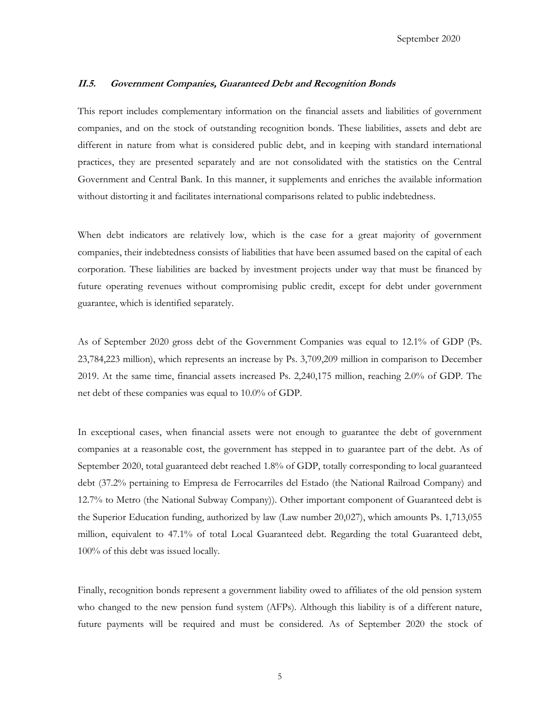#### <span id="page-4-0"></span>**II.5. Government Companies, Guaranteed Debt and Recognition Bonds**

This report includes complementary information on the financial assets and liabilities of government companies, and on the stock of outstanding recognition bonds. These liabilities, assets and debt are different in nature from what is considered public debt, and in keeping with standard international practices, they are presented separately and are not consolidated with the statistics on the Central Government and Central Bank. In this manner, it supplements and enriches the available information without distorting it and facilitates international comparisons related to public indebtedness.

When debt indicators are relatively low, which is the case for a great majority of government companies, their indebtedness consists of liabilities that have been assumed based on the capital of each corporation. These liabilities are backed by investment projects under way that must be financed by future operating revenues without compromising public credit, except for debt under government guarantee, which is identified separately.

As of September 2020 gross debt of the Government Companies was equal to 12.1% of GDP (Ps. 23,784,223 million), which represents an increase by Ps. 3,709,209 million in comparison to December 2019. At the same time, financial assets increased Ps. 2,240,175 million, reaching 2.0% of GDP. The net debt of these companies was equal to 10.0% of GDP.

In exceptional cases, when financial assets were not enough to guarantee the debt of government companies at a reasonable cost, the government has stepped in to guarantee part of the debt. As of September 2020, total guaranteed debt reached 1.8% of GDP, totally corresponding to local guaranteed debt (37.2% pertaining to Empresa de Ferrocarriles del Estado (the National Railroad Company) and 12.7% to Metro (the National Subway Company)). Other important component of Guaranteed debt is the Superior Education funding, authorized by law (Law number 20,027), which amounts Ps. 1,713,055 million, equivalent to 47.1% of total Local Guaranteed debt. Regarding the total Guaranteed debt, 100% of this debt was issued locally.

Finally, recognition bonds represent a government liability owed to affiliates of the old pension system who changed to the new pension fund system (AFPs). Although this liability is of a different nature, future payments will be required and must be considered. As of September 2020 the stock of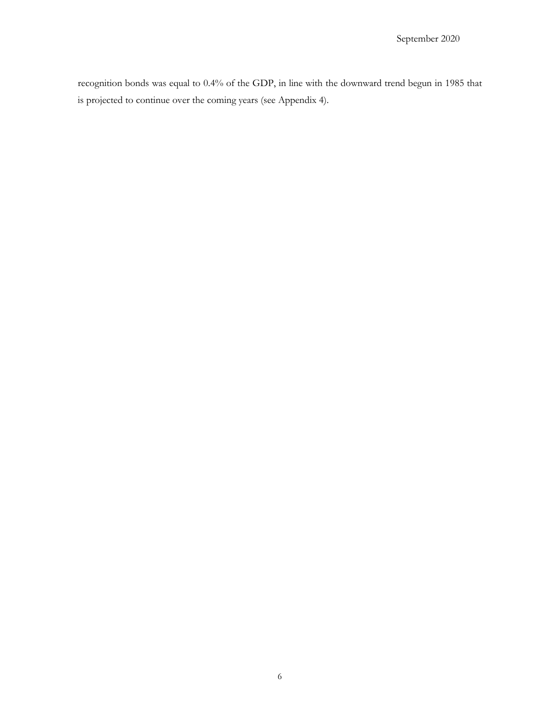recognition bonds was equal to 0.4% of the GDP, in line with the downward trend begun in 1985 that is projected to continue over the coming years (see Appendix 4).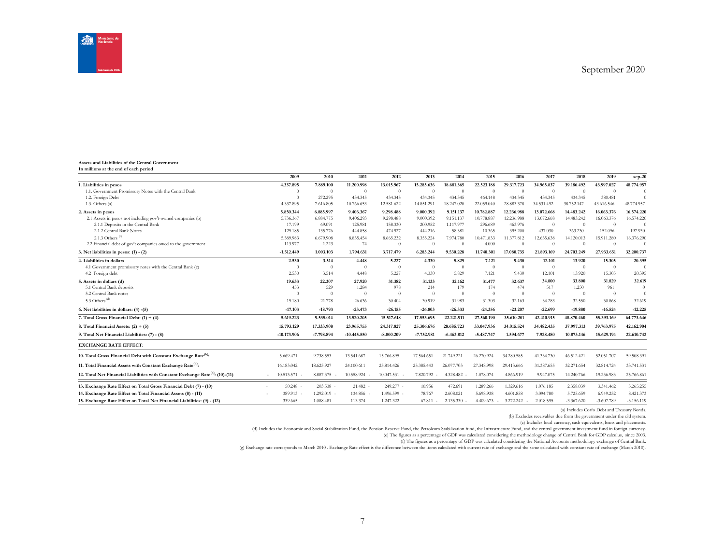



#### **Assets and Liabilities of the Central Government In millions at the end of each period**

|                                                                                            | 2009          | 2010        | 2011           | 2012         | 2013         | 2014         | 2015         | 2016       | 2017       | 2018           | 2019         | $sep-20$       |
|--------------------------------------------------------------------------------------------|---------------|-------------|----------------|--------------|--------------|--------------|--------------|------------|------------|----------------|--------------|----------------|
| 1. Liabilities in pesos                                                                    | 4.337.895     | 7.889.100   | 11.200.998     | 13.015.967   | 15.285.636   | 18.681.365   | 22,523,188   | 29.317.723 | 34.965.837 | 39.186.492     | 43.997.027   | 48.774.957     |
| 1.1. Government Promissory Notes with the Central Bank                                     | $\Omega$      | $\theta$    | $\overline{0}$ | $\theta$     | $\Omega$     | $\theta$     | $\Omega$     | $\Omega$   | $\Omega$   | $\Omega$       | $\Omega$     | $\Omega$       |
| 1.2. Foreign Debt                                                                          | $\Omega$      | 272.295     | 434.345        | 434.345      | 434.345      | 434.345      | 464.148      | 434.345    | 434.345    | 434.345        | 380.481      | $\Omega$       |
| 1.3. Others(a)                                                                             | 4.337.895     | 7.616.805   | 10.766.653     | 12.581.622   | 14.851.291   | 18.247.020   | 22.059.040   | 28.883.378 | 34.531.492 | 38.752.147     | 43.616.546   | 48,774,957     |
| 2. Assets in pesos                                                                         | 5.850.344     | 6.885.997   | 9.406.367      | 9.298.488    | 9.000.392    | 9.151.137    | 10.782.887   | 12.236.988 | 13.072.668 | 14.483.242     | 16.063.376   | 16.574.220     |
| 2.1 Assets in pesos not including gov't-owned companies (b)                                | 5.736.367     | 6.884.775   | 9.406.293      | 9.298.488    | 9.000.392    | 9.151.137    | 10,778,887   | 12.236.988 | 13.072.668 | 14.483.242     | 16.063.376   | 16.574.220     |
| 2.1.1 Deposits in the Central Bank                                                         | 17.199        | 69.091      | 125.981        | 158.330      | 200.952      | 1.117.977    | 296.689      | 463.976    | $\Omega$   | $\overline{0}$ | $\theta$     | $\Omega$       |
| 2.1.2 Central Bank Notes                                                                   | 129.185       | 135,776     | 444.858        | 474.927      | 444.216      | 58.381       | 10.365       | 395.200    | 437.030    | 363.230        | 152.096      | 197.930        |
| 2.1.3 Others <sup>(c)</sup>                                                                | 5.589.983     | 6.679.908   | 8.835.454      | 8.665.232    | 8.355.224    | 7.974.780    | 10.471.833   | 11.377.812 | 12.635.638 | 14.120.013     | 15.911.280   | 16.376.290     |
| 2.2 Financial debt of gov't companies owed to the government                               | 113,977       | 1.223       | 74             | $\theta$     | $\Omega$     | $\Omega$     | 4.000        | $\Omega$   | $\Omega$   | $\Omega$       | $\Omega$     | $\Omega$       |
| 3. Net liabilities in pesos: $(1) - (2)$                                                   | $-1.512.449$  | 1.003.103   | 1.794.631      | 3.717.479    | 6.285.244    | 9.530.228    | 11.740.301   | 17.080.735 | 21.893.169 | 24.703.249     | 27.933.651   | 32.200.737     |
| 4. Liabilities in dollars                                                                  | 2.530         | 3.514       | 4.448          | 5.227        | 4.330        | 5.829        | 7.121        | 9.430      | 12.101     | 13.920         | 15.305       | 20.395         |
| 4.1 Government promissory notes with the Central Bank (c)                                  | $\Omega$      | $\theta$    | $\Omega$       | $\Omega$     | $\Omega$     | $\Omega$     | $\theta$     | $\Omega$   | $\Omega$   | $\Omega$       | $\Omega$     | $\Omega$       |
| 4.2 Foreign debt                                                                           | 2.530         | 3.514       | 4.448          | 5.227        | 4.330        | 5.829        | 7.121        | 9.430      | 12.101     | 13.920         | 15.305       | 20.395         |
| 5. Assets in dollars (d)                                                                   | 19.633        | 22,307      | 27.920         | 31.382       | 31.133       | 32.162       | 31,477       | 32.637     | 34.800     | 33.800         | 31.829       | 32.619         |
| 5.1 Central Bank deposits                                                                  | 453           | 529         | 1.284          | 978          | 214          | 179          | 174          | 474        | 517        | 1.250          | 961          | $\overline{0}$ |
| 5.2 Central Bank notes                                                                     |               | $\Omega$    | $\Omega$       | $\Omega$     | $\theta$     | $\theta$     | $\theta$     | $\Omega$   | $\Omega$   | $\Omega$       | $\theta$     | $\theta$       |
| 5.3 Others <sup>(d)</sup>                                                                  | 19.180        | 21.778      | 26.636         | 30.404       | 30.919       | 31.983       | 31.303       | 32.163     | 34.283     | 32.550         | 30.868       | 32.619         |
| 6. Net liabilities in dollars: (4) -(5)                                                    | $-17.103$     | $-18.793$   | $-23.473$      | $-26.155$    | $-26.803$    | $-26.333$    | $-24.356$    | $-23.207$  | $-22.699$  | $-19.880$      | $-16.524$    | $-12.225$      |
| 7. Total Gross Financial Debt: $(1) + (4)$                                                 | 5.619.223     | 9.535.014   | 13.520.205     | 15.517.618   | 17.553.695   | 22.221.911   | 27.560.190   | 35.610.201 | 42.410.915 | 48.870.460     | 55.393.169   | 64.773.646     |
| 8. Total Financial Assets: $(2) + (5)$                                                     | 15,793,129    | 17.333.908  | 23.965.755     | 24.317.827   | 25.306.676   | 28,685,723   | 33.047.936   | 34.015.524 | 34.482.435 | 37.997.313     | 39,763,975   | 42.162.904     |
| 9. Total Net Financial Liabilities: (7) - (8)                                              | $-10.173.906$ | -7.798.894  | $-10.445.550$  | $-8.800.209$ | $-7.752.981$ | $-6.463.812$ | $-5.487.747$ | 1.594.677  | 7.928.480  | 10.873.146     | 15.629.194   | 22.610.742     |
| <b>EXCHANGE RATE EFFECT:</b>                                                               |               |             |                |              |              |              |              |            |            |                |              |                |
| 10. Total Gross Financial Debt with Constant Exchange Rate <sup>(h)</sup> :                | 5.669.471     | 9.738.553   | 13.541.687     | 15.766.895   | 17.564.651   | 21.749.221   | 26.270.924   | 34.280.585 | 41.334.730 | 46.512.421     | 52.051.707   | 59.508.391     |
| 11. Total Financial Assets with Constant Exchange Rate <sup>(h)</sup> :                    | 16.183.042    | 18.625.927  | 24.100.611     | 25.814.426   | 25.385.443   | 26.077.703   | 27.348.998   | 29.413.666 | 31.387.655 | 32.271.654     | 32.814.724   | 33.741.531     |
| 12. Total Net Financial Liabilities with Constant Exchange Rate <sup>(h)</sup> : (10)-(11) | 10.513.571    | 8.887.375   | 10.558.924     | 10.047.531   | 7.820.792    | 4.328.482    | 1.078.074    | 4.866.919  | 9.947.075  | 14.240.766     | 19.236.983   | 25.766.861     |
|                                                                                            |               |             |                |              |              |              |              |            |            |                |              |                |
| 13. Exchange Rate Effect on Total Gross Financial Debt (7) - (10)                          | 50.248        | $203.538 -$ | 21.482         | 249.277 -    | 10.956       | 472.691      | 1.289.266    | 1.329.616  | 1.076.185  | 2.358.039      | 3.341.462    | 5.265.255      |
| 14. Exchange Rate Effect on Total Financial Assets (8) - (11)                              | 389.913       | 1.292.019 - | 134.856 -      | 1.496.599 -  | 78.767       | 2.608.021    | 5.698.938    | 4.601.858  | 3.094.780  | 5.725.659      | 6.949.252    | 8.421.373      |
| 15. Exchange Rate Effect on Total Net Financial Liabilities: (9) - (12)                    | 339.665       | 1.088,481   | 113,374        | 1.247.322    | 67.811       | 2.135.330    | 4.409.673    | 3.272.242  | 2.018.595  | $-3.367.620$   | $-3.607.789$ | $-3.156.119$   |
|                                                                                            |               |             |                |              |              |              |              |            |            |                |              |                |

(a) Includes Corfo Debt and Treasury Bonds.

(b) Excludes receivables due from the government under the old system.

(c) Includes local currency, cash equivalents, loans and placements.

(d) Includes the Economic and Social Stabilization Fund, the Pension Reserve Fund, the Petroleum Stabilization fund, the Infrastructure Fund, and the central government investment fund in foreign currency.

.e) The figures as a percentage of GDP was calculated considering the methodology change of Central Bank for GDP calculus, since 2003.<br>(f) The figures as a percentage of GDP was calculated considering the National Accounts

(g) Exchange rate corresponds to March 2010 . Exchange Rate effect is the difference between the items calculated with current rate of exchange and the same calculated with constant rate of exchange (March 2010).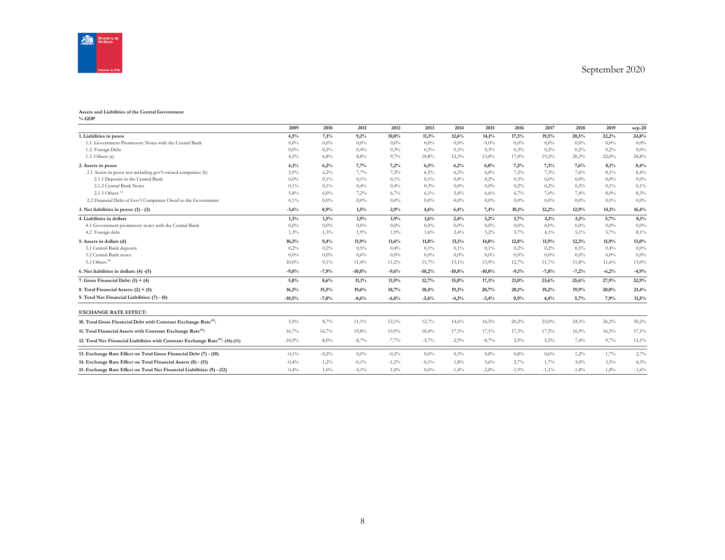

#### **Assets and Liabilities of the Central Government**

**% GDP**

|                                                                                            | 2009     | 2010     | 2011     | 2012     | 2013     | 2014     | 2015     | 2016    | 2017    | 2018    | 2019    | $sep-20$ |
|--------------------------------------------------------------------------------------------|----------|----------|----------|----------|----------|----------|----------|---------|---------|---------|---------|----------|
| 1. Liabilities in pesos                                                                    | 4,5%     | 7,1%     | 9,2%     | $10.0\%$ | 11,1%    | 12,6%    | 14,1%    | 17,3%   | 19,5%   | 20,5%   | 22,2%   | 24,8%    |
| 1.1. Government Promissory Notes with the Central Bank                                     | 0.0%     | $0.0\%$  | $0.0\%$  | 0,0%     | $0.0\%$  | 0,0%     | 0.0%     | 0,0%    | $0.0\%$ | $0,0\%$ | $0.0\%$ | $0.0\%$  |
| 1.2. Foreign Debt                                                                          | $0.0\%$  | 0,2%     | 0,4%     | 0,3%     | 0.3%     | 0.3%     | 0,3%     | 0,3%    | 0,2%    | 0,2%    | 0,2%    | $0.0\%$  |
| 1.3. Others(a)                                                                             | 4,5%     | 6,8%     | 8,8%     | 9,7%     | 10,8%    | 12,3%    | 13,8%    | 17,0%   | 19,2%   | 20,3%   | 22,0%   | 24,8%    |
| 2. Assets in pesos                                                                         | 6,1%     | 6,2%     | 7,7%     | 7.2%     | 6,5%     | 6,2%     | 6,8%     | 7,2%    | 7,3%    | 7,6%    | 8,1%    | 8,4%     |
| 2.1 Assets in pesos not including gov't-owned companies (b)                                | 5,9%     | 6,2%     | 7,7%     | 7,2%     | 6,5%     | 6,2%     | 6,8%     | 7,2%    | 7,3%    | 7,6%    | 8,1%    | 8,4%     |
| 2.1.1 Deposits in the Central Bank                                                         | $0.0\%$  | 0,1%     | 0,1%     | 0,1%     | 0,1%     | 0.8%     | 0,2%     | 0,3%    | 0.0%    | 0.0%    | $0.0\%$ | 0.0%     |
| 2.1.2 Central Bank Notes                                                                   | 0,1%     | 0,1%     | 0,4%     | 0,4%     | 0.3%     | 0.0%     | $0.0\%$  | 0,2%    | 0,2%    | 0,2%    | 0,1%    | 0,1%     |
| 2.1.3 Others $(6)$                                                                         | 5,8%     | 6,0%     | 7,2%     | 6,7%     | 6,1%     | 5,4%     | 6,6%     | 6,7%    | 7,0%    | 7,4%    | 8,0%    | 8,3%     |
| 2.2 Financial Debt of Gov't Companies Owed to the Government                               | 0,1%     | 0,0%     | 0,0%     | 0,0%     | $0.0\%$  | 0.0%     | 0.0%     | 0,0%    | $0.0\%$ | 0.0%    | $0.0\%$ | $0.0\%$  |
| 3. Net liabilities in pesos: $(1) - (2)$                                                   | $-1,6%$  | 0,9%     | 1,5%     | 2,9%     | 4,6%     | 6,4%     | 7,4%     | 10,1%   | 12,2%   | 12,9%   | 14,1%   | 16,4%    |
| 4. Liabilities in dollars                                                                  | 1,3%     | 1,5%     | 1,9%     | 1.9%     | 1,6%     | 2,4%     | 3,2%     | 3,7%    | 4,1%    | 5,1%    | 5,7%    | 8,1%     |
| 4.1 Government promissory notes with the Central Bank                                      | 0.0%     | $0.0\%$  | $0.0\%$  | 0.0%     | $0.0\%$  | $0,0\%$  | $0.0\%$  | 0,0%    | 0.0%    | 0.0%    | $0.0\%$ | $0.0\%$  |
| 4.2 Foreign debt                                                                           | 1,3%     | 1,5%     | 1,9%     | 1,9%     | 1,6%     | 2,4%     | 3,2%     | 3,7%    | 4,1%    | 5,1%    | 5,7%    | 8,1%     |
| 5. Assets in dollars (d)                                                                   | 10,3%    | 9,4%     | 11.9%    | 11.6%    | 11,8%    | 13,1%    | 14,0%    | 12,8%   | 11.9%   | 12,3%   | 11,9%   | 13,0%    |
| 5.1 Central Bank deposits                                                                  | 0,2%     | 0,2%     | 0,5%     | 0,4%     | 0,1%     | 0,1%     | 0,1%     | 0,2%    | 0,2%    | 0,5%    | 0,4%    | $0.0\%$  |
| 5.2 Central Bank notes                                                                     | $0.0\%$  | $0.0\%$  | $0.0\%$  | 0,0%     | $0.0\%$  | 0.0%     | $0.0\%$  | 0,0%    | 0.0%    | $0.0\%$ | $0.0\%$ | $0.0\%$  |
| 5.3 Others <sup>(d)</sup>                                                                  | 10.0%    | 9,1%     | 11.4%    | 11,2%    | 11,7%    | 13.1%    | 13.9%    | 12,7%   | 11.7%   | 11,8%   | 11,6%   | 13,0%    |
| 6. Net liabilities in dollars: (4) -(5)                                                    | $-9,0%$  | $-7,9%$  | $-10,0%$ | $-9,6%$  | $-10,2%$ | $-10,8%$ | $-10,8%$ | $-9,1%$ | $-7,8%$ | $-7,2%$ | $-6,2%$ | $-4,9%$  |
| 7. Gross Financial Debt: $(1) + (4)$                                                       | 5,8%     | 8,6%     | 11,1%    | 11.9%    | 12,7%    | 15,0%    | 17,3%    | 21,0%   | 23,6%   | 25,6%   | 27,9%   | 32,9%    |
| 8. Total Financial Assets: $(2) + (5)$                                                     | 16,3%    | 15,5%    | 19,6%    | 18,7%    | 18,4%    | 19,3%    | 20,7%    | 20,1%   | 19,2%   | 19,9%   | 20,0%   | 21,4%    |
| 9. Total Net Financial Liabilities: (7) - (8)                                              | $-10,5%$ | $-7,0%$  | $-8,6%$  | $-6,8%$  | $-5,6%$  | $-4,3%$  | $-3,4%$  | 0.9%    | 4,4%    | 5,7%    | 7.9%    | 11,5%    |
| <b>EXCHANGE RATE EFFECT:</b>                                                               |          |          |          |          |          |          |          |         |         |         |         |          |
| 10. Total Gross Financial Debt with Constant Exchange Rate <sup>(h)</sup> :                | 5,9%     | 8,7%     | 11,1%    | 12,1%    | 12,7%    | 14,6%    | 16,5%    | 20,2%   | 23,0%   | 24,3%   | 26,2%   | 30,2%    |
| 11. Total Financial Assets with Constant Exchange Rate <sup>(h)</sup> :                    | 16,7%    | 16,7%    | 19,8%    | 19,9%    | 18,4%    | 17,5%    | 17,1%    | 17,3%   | 17,5%   | 16,9%   | 16,5%   | 17,1%    |
| 12. Total Net Financial Liabilities with Constant Exchange Rate <sup>(h)</sup> : (10)-(11) | $-10,9%$ | $-8,0\%$ | $-8,7%$  | $-7,7%$  | $-5,7%$  | $-2,9%$  | $-0,7%$  | 2,9%    | 5,5%    | 7,4%    | 9,7%    | 13,1%    |
| 13. Exchange Rate Effect on Total Gross Financial Debt (7) - (10)                          | $-0,1%$  | $-0,2%$  | $0.0\%$  | $-0,2%$  | $0,0\%$  | 0.3%     | 0,8%     | 0.8%    | 0,6%    | 1,2%    | 1,7%    | 2,7%     |
| 14. Exchange Rate Effect on Total Financial Assets (8) - (11)                              | $-0.4%$  | $-1,2%$  | $-0.1%$  | $-1,2%$  | $-0.1%$  | 1,8%     | 3,6%     | 2,7%    | 1.7%    | 3.0%    | 3,5%    | 4,3%     |
| 15. Exchange Rate Effect on Total Net Financial Liabilities: (9) - (12)                    | 0,4%     | 1.0%     | 0.1%     | 1.0%     | $0.0\%$  | $-1,4%$  | $-2,8%$  | $-1,9%$ | $-1,1%$ | $-1.8%$ | $-1,8%$ | $-1,6%$  |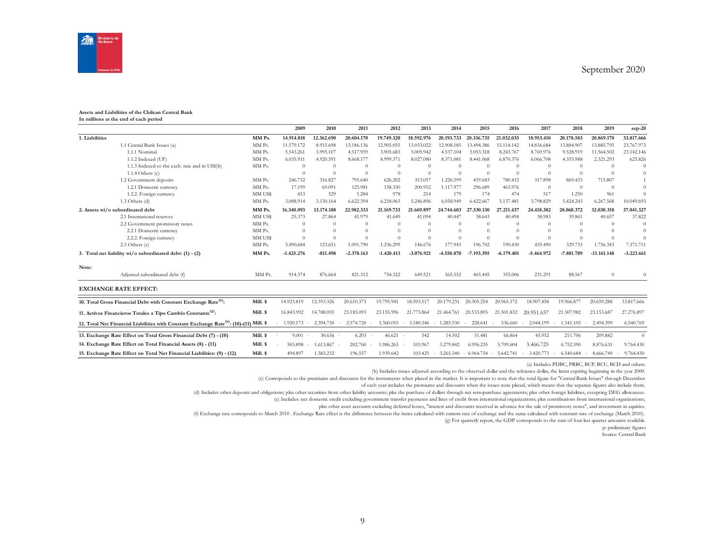

#### **Assets and Liabilities of the Chilean Central Bank In millions at the end of each period**

|                |                                                                                                     |          | 2009         | 2010       | 2011         | 2012         | 2013                  | 2014                | 2015              | 2016         | 2017         | 2018         | 2019                | sep-20       |
|----------------|-----------------------------------------------------------------------------------------------------|----------|--------------|------------|--------------|--------------|-----------------------|---------------------|-------------------|--------------|--------------|--------------|---------------------|--------------|
| 1. Liabilities |                                                                                                     | MM Ps.   | 14.914.818   | 12.362.690 | 20.604.170   | 19.749.320   | 18.592.976            | 20.193.733          | 20.336.735        | 21.032.035   | 18.953.410   | 20.178.583   | 20.869.170          | 33.817.666   |
|                | 1.1 Central Bank Issues (a)                                                                         | MM Ps.   | 11.579.172   | 8.915.698  | 13.186.136   | 12.905.055   | 13.033.022            | 12.908.185          | 13.494.386        | 15.114.142   | 14.836.684   | 13,884,907   | 13.885.795          | 23,767,973   |
|                | 1.1.1 Nominal                                                                                       | MM Ps.   | 5.543.261    | 3.995.107  | 4.517.959    | 3.905.683    | 5.005.942             | 4.537.104           | 5.053.318         | 8.243.767    | 8.769.976    | 9.528.919    | 11.564.502          | 23.142.146   |
|                | 1.1.2 Indexed (UF)                                                                                  | MM Ps.   | 6.035.911    | 4.920.591  | 8.668.177    | 8.999.371    | 8.027.080             | 8.371.081           | 8.441.068         | 6.870.376    | 6.066.708    | 4.355.988    | 2.321.293           | 625.826      |
|                | 1.1.3 Indexed to the exch. rate and in US\$(b)                                                      | MM Ps.   | $\Omega$     | $\Omega$   | $\Omega$     | $\Omega$     | $\Omega$              | $\Omega$            | $\Omega$          | $\Omega$     | $\Omega$     | $\Omega$     | $\Omega$            | $\theta$     |
|                | 1.1.4 Others $(c)$                                                                                  |          | $\Omega$     | $\Omega$   | $\Omega$     | $\Omega$     | $\Omega$              | $\Omega$            | $\Omega$          | $\Omega$     | $\Omega$     | $\Omega$     | $\Omega$            | $\Omega$     |
|                | 1.2 Government deposits                                                                             | MM Ps.   | 246.732      | 316.827    | 795.640      | 626.202      | 313.057               | 1.226.599           | 419.683           | 780.412      | 317.898      | 869.433      | 715.807             |              |
|                | 1.2.1 Domestic currency                                                                             | MM Ps.   | 17.199       | 69.091     | 125.981      | 158.330      | 200.952               | 1.117.977           | 296.689           | 463.976      | $\Omega$     | $\Omega$     | $\Omega$            | $\Omega$     |
|                | 1.2.2. Foreign currency                                                                             | MM US\$  | 453          | 529        | 1.284        | 978          | 214                   | 179                 | 174               | 474          | 517          | 1.250        | 961                 | $\Omega$     |
|                | 1.3 Others (d)                                                                                      | MM Ps.   | 3.088.914    | 3.130.164  | 6.622.394    | 6.218.063    | 5.246.896             | 6.058.949           | 6.422.667         | 5.137.481    | 3.798.829    | 5.424.243    | 6.267.568           | 10.049.693   |
|                | 2. Assets wi/o subordinated debt                                                                    | MM Ps.   | 16.340.093   | 13.174.188 | 22,982,333   | 21.169.733   | 21.669.897            | 24.744.603          | 27.530.130        | 27.211.437   | 24.418.382   | 28.060.372   | 32.030.318          | 37.041.327   |
|                | 2.1 International reserves                                                                          | MM US\$  | 25.373       | 27.864     | 41.979       | 41.649       | 41.094                | 40,447              | 38.643            | 40.494       | 38.983       | 39.861       | 40.657              | 37.822       |
|                | 2.2 Government promissory notes                                                                     | MM Ps.   | $\Omega$     | $\Omega$   |              | $\Omega$     | $\Omega$              | $\Omega$            | $\Omega$          | $\Omega$     | $\Omega$     | $\Omega$     | $\Omega$            | $\Omega$     |
|                | 2.2.1 Domestic currency                                                                             | MM Ps.   | $\Omega$     | $\Omega$   |              | $\Omega$     | $\Omega$              | $\Omega$            | $\Omega$          |              | $\Omega$     | $\Omega$     | $\Omega$            | $\Omega$     |
|                | 2.2.2. Foreign currency                                                                             | MM US\$  | $\Omega$     | $\Omega$   |              | $\Omega$     | $\Omega$              | $\Omega$            | $\Omega$          | $\Omega$     | $\Omega$     |              | $\Omega$            | $\Omega$     |
|                | 2.3 Others (e)                                                                                      | MM Ps.   | 3.490.684    | 123.651    | 1.091.790    | 1.236.299    | 146.676               | 177.943             | 196.702           | 190.430      | 435.490      | 329.733      | 1.756.343           | 7.371.711    |
|                | 3. Total net liability wi/o subordinated debt: (1) - (2)                                            | MM Ps.   | $-1.425.276$ | $-811.498$ | $-2.378.163$ | $-1.420.413$ | $-3.076.921$          | -4.550.870          | $-7.193.395$      | $-6.179.401$ | $-5.464.972$ | $-7.881.789$ | $-11.161.148$       | $-3.223.661$ |
| Note:          |                                                                                                     |          |              |            |              |              |                       |                     |                   |              |              |              |                     |              |
|                | Adjusted subordinated debt (f)                                                                      | MM Ps.   | 914.374      | 876.664    | 821.312      | 754.322      | 649.521               | 565.552             | 465.445           | 355.006      | 231.291      | 88.567       | $\Omega$            | $\Omega$     |
|                | <b>EXCHANGE RATE EFFECT:</b>                                                                        |          |              |            |              |              |                       |                     |                   |              |              |              |                     |              |
|                | 10. Total Gross Financial Debt with Constant Exchange Rate <sup>(h)</sup> :                         | Mill. \$ | 14.923.819   | 12.393.326 | 20.610.373   | 19.795.941   | 18.593.517            | 20.179.231          | 20.305.254        | 20.965.172   | 18.907.458   | 19.966.877   | 20.659.288          | 33.817.666   |
|                | 11. Activos Financieros Totales a Tipo Cambio Constante <sup>(g)</sup> :                            | Mill. \$ | 16.843.992   | 14.788.055 | 23.185.093   | 23.155.996   | 21.773.864            | 21.464.761          | 20.533.895        | 21.501.832   | 20.951.657   | 21.307.982   | 23.153.687          | 27.276.897   |
|                | 12. Total Net Financial Liabilities with Constant Exchange Rate <sup>(h)</sup> : (10)-(11) Mill. \$ |          | 1.920.173    | 2.394.730  | 2.574.720    | 3.360.055    | 3.180.346 -<br>$\sim$ | 1.285.530           | 228.641<br>$\sim$ | 536.660      | 2.044.199    | 1.341.105    | 2.494.399           | 6.540.769    |
|                | 13. Exchange Rate Effect on Total Gross Financial Debt (7) - (10)                                   | Mill. \$ | 9.001        | $30.636 -$ | 6.203        | $46.621 -$   | 542                   | 14.502              | 31.481            | 66.864       | 45.952       | 211.706      | 209.882             | $\Omega$     |
|                | 14. Exchange Rate Effect on Total Financial Assets (8) - (11)                                       | Mill. \$ | 503.898      | 1.613.867  | 202.760      | 1.986.263    | 103.967               | 3.279.842           | 6.996.235         | 5.709.604    | 3.466.725    | 6.752.390    | 8.876.631           | 9.764.430    |
|                | 15. Exchange Rate Effect on Total Net Financial Liabilities: (9) - (12)                             | Mill. \$ | 494.897      | 1.583.232  | 196.557      | 1.939.642    | 103.425               | 3.265.340<br>$\sim$ | $-6.964.754 -$    | 5.642.741    | 3.420.773    | 6.540.684    | 8.666.749<br>$\sim$ | 9.764.430    |

(a) Includes PDBC, PRBC, BCP, BCU, BCD and others.

(b) Includes issues adjusted according to the observed dollar and the reference dollar, the latter expiring beginning in the year 2000.

(c) Corresponds to the premiums and discounts for the instruments when placed in the market. It is important to note that the total figure for "Central Bank Issues" through December

of each year includes the premiums and discounts when the issues were placed, which means that the separate figures also include them.

(d) Includes other deposits and obligations; plus other securities from other liability accounts; plas the purchase of dollars through net retropurchase agreements; plus other foreign liabilities, excepting DEG allowances.

(e) Includes: net domestic credit excluding government transfer payments and lines of credit from international organizations; plus contributions from international organizations;

plus other asset accounts excluding deferred losses, "interest and discounts received in advance for the sale of promissory notes", and investment in equities.

(f) Exchange rate corresponds to March 2010 . Exchange Rate effect is the difference between the items calculated with current rate of exchange and the same calculated with constant rate of exchange (March 2010).

(g) For quarterly report, the GDP corresponds to the sum of four last quarter amounts available.

p: preliminary figures

Source: Central Bank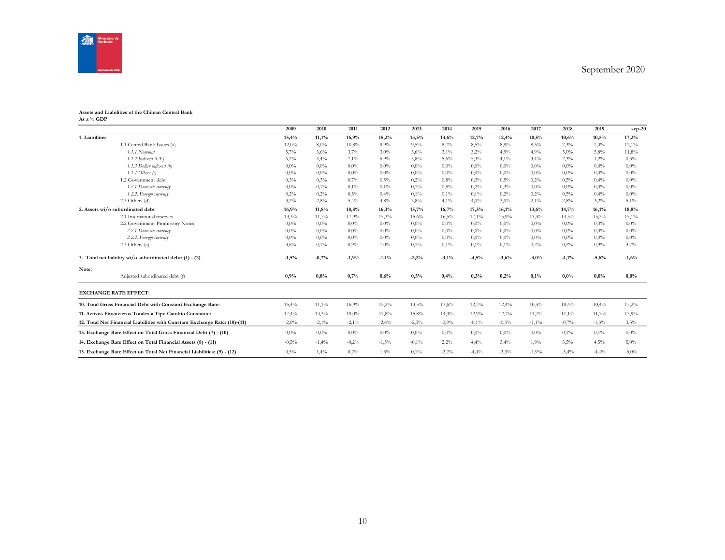

#### **Assets and Liabilities of the Chilean Central Bank As a % GDP**

|                |                                                                            | 2009     | 2010     | 2011    | 2012    | 2013     | 2014    | 2015    | 2016    | 2017     | 2018    | 2019    | $sep-20$ |
|----------------|----------------------------------------------------------------------------|----------|----------|---------|---------|----------|---------|---------|---------|----------|---------|---------|----------|
| 1. Liabilities |                                                                            | 15,4%    | 11,1%    | 16,9%   | 15,2%   | 13,5%    | 13,6%   | 12,7%   | 12,4%   | 10,5%    | 10,6%   | 10,5%   | 17,2%    |
|                | 1.1 Central Bank Issues (a)                                                | 12,0%    | 8,0%     | 10,8%   | 9,9%    | 9,5%     | 8,7%    | 8,5%    | 8,9%    | 8,3%     | 7,3%    | 7,0%    | 12,1%    |
|                | 1.1.1 Nominal                                                              | 5,7%     | 3,6%     | 3,7%    | 3,0%    | 3,6%     | 3,1%    | 3.2%    | 4,9%    | 4,9%     | 5,0%    | 5,8%    | 11,8%    |
|                | $1.1.2$ Indexed (UF)                                                       | 6,2%     | 4,4%     | 7,1%    | 6,9%    | 5,8%     | 5,6%    | 5,3%    | 4,1%    | 3,4%     | 2,3%    | 1,2%    | 0,3%     |
|                | 1.1.3 Dollar indexed (b)                                                   | $0.0\%$  | $0.0\%$  | $0.0\%$ | $0,0\%$ | $0.0\%$  | $0.0\%$ | $0.0\%$ | $0,0\%$ | 0,0%     | $0.0\%$ | $0,0\%$ | $0.0\%$  |
|                | 1.1.4 Others $(c)$                                                         | $0.0\%$  | $0.0\%$  | $0.0\%$ | $0.0\%$ | $0,0\%$  | $0.0\%$ | $0.0\%$ | $0,0\%$ | 0,0%     | $0.0\%$ | $0.0\%$ | $0,0\%$  |
|                | 1.2 Government debt                                                        | 0.3%     | 0.3%     | 0,7%    | 0,5%    | 0.2%     | 0.8%    | 0.3%    | 0,5%    | 0,2%     | 0,5%    | 0,4%    | $0.0\%$  |
|                | 1.2.1 Domestic currency                                                    | $0.0\%$  | 0,1%     | 0,1%    | 0,1%    | 0,1%     | 0.8%    | 0,2%    | 0.3%    | 0,0%     | $0,0\%$ | $0,0\%$ | $0,0\%$  |
|                | 1.2.2. Foreign currency                                                    | 0,2%     | 0,2%     | 0,5%    | 0,4%    | 0,1%     | 0,1%    | 0,1%    | 0,2%    | 0,2%     | 0,5%    | 0,4%    | $0,0\%$  |
|                | $2.3$ Others (d)                                                           | 3,2%     | 2,8%     | 5,4%    | 4,8%    | 3,8%     | 4,1%    | 4,0%    | 3,0%    | $2,1\%$  | 2,8%    | 3,2%    | 5,1%     |
|                | 2. Assets wi/o subordinated debt                                           | 16,9%    | 11,8%    | 18,8%   | 16,3%   | 15,7%    | 16,7%   | 17,3%   | 16,1%   | 13,6%    | 14,7%   | 16,1%   | 18,8%    |
|                | 2.1 International reserves                                                 | 13,3%    | 11,7%    | 17,9%   | 15,3%   | 15,6%    | 16,5%   | 17,1%   | 15,9%   | 13,3%    | 14,5%   | 15.3%   | 15,1%    |
|                | 2.2 Government Promissory Notes                                            | $0.0\%$  | $0.0\%$  | $0.0\%$ | $0.0\%$ | $0.0\%$  | $0.0\%$ | $0.0\%$ | $0,0\%$ | 0,0%     | $0.0\%$ | $0.0\%$ | $0,0\%$  |
|                | 2.2.1 Domestic currency                                                    | $0.0\%$  | $0.0\%$  | $0.0\%$ | $0,0\%$ | $0,0\%$  | $0,0\%$ | $0,0\%$ | $0,0\%$ | 0,0%     | $0,0\%$ | 0,0%    | $0,0\%$  |
|                | 2.2.2. Foreign currency                                                    | $0.0\%$  | $0.0\%$  | $0.0\%$ | $0,0\%$ | $0,0\%$  | $0.0\%$ | $0,0\%$ | $0,0\%$ | 0,0%     | $0.0\%$ | $0,0\%$ | $0,0\%$  |
|                | 2.3 Others (e)                                                             | 3,6%     | 0,1%     | 0.9%    | 1,0%    | 0,1%     | 0,1%    | 0,1%    | 0,1%    | 0,2%     | 0,2%    | 0,9%    | 3,7%     |
|                | 3. Total net liability wi/o subordinated debt: (1) - (2)                   | $-1,5%$  | $-0,7%$  | $-1,9%$ | $-1,1%$ | $-2,2%$  | $-3,1%$ | $-4,5%$ | $-3,6%$ | $-3,0%$  | $-4,1%$ | $-5,6%$ | $-1,6%$  |
| Note:          |                                                                            |          |          |         |         |          |         |         |         |          |         |         |          |
|                | Adjusted subordinated debt (f)                                             | 0,9%     | 0.8%     | 0,7%    | 0,6%    | 0,5%     | 0,4%    | 0,3%    | 0,2%    | 0,1%     | 0,0%    | 0,0%    | 0,0%     |
|                | <b>EXCHANGE RATE EFFECT:</b>                                               |          |          |         |         |          |         |         |         |          |         |         |          |
|                | 10. Total Gross Financial Debt with Constant Exchange Rate:                | 15,4%    | 11,1%    | 16,9%   | 15,2%   | 13,5%    | 13,6%   | 12,7%   | 12,4%   | 10,5%    | 10,4%   | 10,4%   | 17,2%    |
|                | 11. Activos Financieros Totales a Tipo Cambio Constante:                   | 17,4%    | 13,3%    | 19,0%   | 17,8%   | 15,8%    | 14,4%   | 12,9%   | 12,7%   | 11,7%    | 11,1%   | 11,7%   | 13,9%    |
|                | 12. Total Net Financial Liabilities with Constant Exchange Rate: (10)-(11) | $-2,0\%$ | $-2,1\%$ | $-2,1%$ | $-2,6%$ | $-2,3%$  | $-0,9%$ | $-0,1%$ | $-0,3%$ | $-1,1\%$ | $-0,7%$ | $-1,3%$ | 3,3%     |
|                | 13. Exchange Rate Effect on Total Gross Financial Debt (7) - (10)          | $0.0\%$  | $0.0\%$  | $0.0\%$ | $0.0\%$ | $0.0\%$  | $0.0\%$ | $0.0\%$ | $0.0\%$ | 0,0%     | $0.1\%$ | 0,1%    | $0.0\%$  |
|                | 14. Exchange Rate Effect on Total Financial Assets (8) - (11)              | $-0,5%$  | $-1,4%$  | $-0.2%$ | $-1,5%$ | $-0.1\%$ | 2,2%    | 4,4%    | 3,4%    | 1,9%     | 3,5%    | 4,5%    | $5,0\%$  |
|                | 15. Exchange Rate Effect on Total Net Financial Liabilities: (9) - (12)    | 0,5%     | 1,4%     | 0,2%    | 1,5%    | 0,1%     | $-2,2%$ | $-4,4%$ | $-3,3%$ | $-1,9%$  | $-3,4%$ | $-4,4%$ | $-5,0%$  |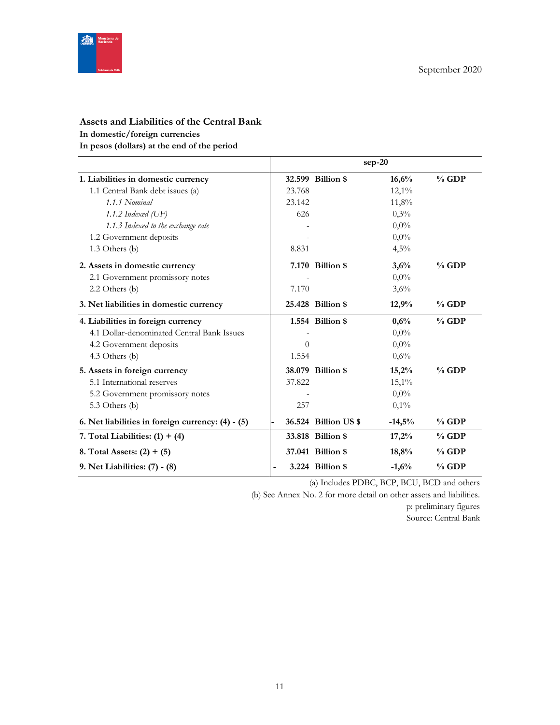

# **Assets and Liabilities of the Central Bank In domestic/foreign currencies**

**In pesos (dollars) at the end of the period**

|                                                   |          |                      | $sep-20$ |         |
|---------------------------------------------------|----------|----------------------|----------|---------|
| 1. Liabilities in domestic currency               |          | 32.599 Billion \$    | 16,6%    | $%$ GDP |
| 1.1 Central Bank debt issues (a)                  | 23.768   |                      | $12,1\%$ |         |
| 1.1.1 Nominal                                     | 23.142   |                      | 11,8%    |         |
| 1.1.2 Indexed $(\mathrm{UF})$                     | 626      |                      | 0,3%     |         |
| 1.1.3 Indexed to the exchange rate                |          |                      | $0.0\%$  |         |
| 1.2 Government deposits                           |          |                      | $0,0\%$  |         |
| $1.3$ Others (b)                                  | 8.831    |                      | 4,5%     |         |
| 2. Assets in domestic currency                    |          | 7.170 Billion \$     | 3,6%     | $%$ GDP |
| 2.1 Government promissory notes                   |          |                      | $0.0\%$  |         |
| $2.2$ Others (b)                                  | 7.170    |                      | 3,6%     |         |
| 3. Net liabilities in domestic currency           |          | 25.428 Billion \$    | 12,9%    | $%$ GDP |
| 4. Liabilities in foreign currency                |          | 1.554 Billion \$     | 0,6%     | $%$ GDP |
| 4.1 Dollar-denominated Central Bank Issues        |          |                      | $0,0\%$  |         |
| 4.2 Government deposits                           | $\theta$ |                      | $0,0\%$  |         |
| 4.3 Others (b)                                    | 1.554    |                      | 0,6%     |         |
| 5. Assets in foreign currency                     |          | 38.079 Billion \$    | 15,2%    | $%$ GDP |
| 5.1 International reserves                        | 37.822   |                      | $15,1\%$ |         |
| 5.2 Government promissory notes                   |          |                      | $0.0\%$  |         |
| 5.3 Others (b)                                    | 257      |                      | 0,1%     |         |
| 6. Net liabilities in foreign currency: (4) - (5) |          | 36.524 Billion US \$ | $-14,5%$ | $%$ GDP |
| 7. Total Liabilities: $(1) + (4)$                 |          | 33.818 Billion \$    | 17,2%    | $%$ GDP |
| 8. Total Assets: $(2) + (5)$                      |          | 37.041 Billion \$    | 18,8%    | $%$ GDP |
| 9. Net Liabilities: (7) - (8)                     | ÷        | 3.224 Billion \$     | $-1,6%$  | $%$ GDP |

(a) Includes PDBC, BCP, BCU, BCD and others

(b) See Annex No. 2 for more detail on other assets and liabilities.

p: preliminary figures

Source: Central Bank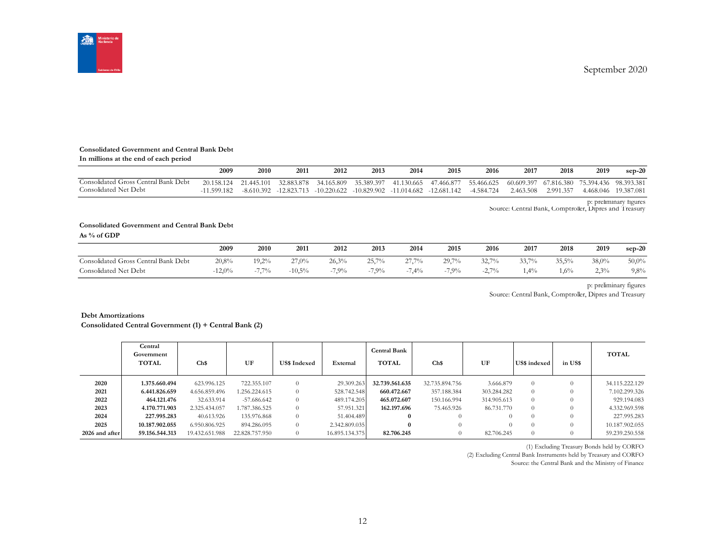September 2020



#### **Consolidated Government and Central Bank Debt**

| In millions at the end of each period |  |
|---------------------------------------|--|
|---------------------------------------|--|

|                                                               | 2009                        | 2010                     | 2011                        | 2012                        | 2013                                  | 2014                  | 2015        | 2016                     | 2017                               | 2018      | 2019                               | $sep-20$   |
|---------------------------------------------------------------|-----------------------------|--------------------------|-----------------------------|-----------------------------|---------------------------------------|-----------------------|-------------|--------------------------|------------------------------------|-----------|------------------------------------|------------|
| Consolidated Gross Central Bank Debt<br>Consolidated Net Debt | 20 158 124<br>$-11.599.182$ | 21.445.101<br>-8.610.392 | 32.883.878<br>$-12.823.713$ | 34.165.809<br>$-10.220.622$ | 35.389.397<br>-10.829.902 -11.014.682 | 41.130.665 47.466.877 | -12.681.142 | 55.466.625<br>-4.584.724 | 60.609.397 67.816.380<br>2.463.508 | 2.991.357 | 75.394.436 98.393.381<br>4.468.046 | 19.387.081 |

p: preliminary figures Source: Central Bank, Comptroller, Dipres and Treasury

#### **Consolidated Government and Central Bank Debt**

**As % of GDP**

|                                      | 2009     | 2010     | 2011      | 2012    | 2013     | 2014     | 2015    | 2016                    | 2017   | 2018  | 2019  | $sep-20$ |
|--------------------------------------|----------|----------|-----------|---------|----------|----------|---------|-------------------------|--------|-------|-------|----------|
| Consolidated Gross Central Bank Debt | 20,8%    | $19,2\%$ | 27,0%     | 26.3%   | 25,7%    | $27.7\%$ | 29,7%   | 32,7%                   | 33,7%  | 35,5% | 38,0% | $50,0\%$ |
| Consolidated Net Debt                | $-12.0%$ | $7.7\%$  | $-10.5\%$ | $-7,9%$ | $-7.9\%$ | 7,4%     | $-7,9%$ | $2.7\%$<br>$-L, \ldots$ | $.4\%$ | .6%   | 2,3%  | 9,8%     |

p: preliminary figures

Source: Central Bank, Comptroller, Dipres and Treasury

#### **Debt Amortizations**

| <b>Debt Amortizations</b><br>Consolidated Central Government (1) + Central Bank (2) |                                       |                |                |                     |                |                                     |                |             |              |          |                |  |
|-------------------------------------------------------------------------------------|---------------------------------------|----------------|----------------|---------------------|----------------|-------------------------------------|----------------|-------------|--------------|----------|----------------|--|
|                                                                                     | Central<br>Government<br><b>TOTAL</b> | Ch\$           | UF             | <b>US\$</b> Indexed | External       | <b>Central Bank</b><br><b>TOTAL</b> | Ch\$           | UF          | US\$ indexed | in US\$  | <b>TOTAL</b>   |  |
| 2020                                                                                | 1.375.660.494                         | 623.996.125    | 722.355.107    | $\overline{0}$      | 29.309.263     | 32.739.561.635                      | 32.735.894.756 | 3.666.879   | $\theta$     | $\Omega$ | 34.115.222.129 |  |
| 2021                                                                                | 6.441.826.659                         | 4.656.859.496  | 1.256.224.615  | $\theta$            | 528.742.548    | 660.472.667                         | 357.188.384    | 303.284.282 | $\theta$     |          | 7.102.299.326  |  |
| 2022                                                                                | 464.121.476                           | 32.633.914     | -57.686.642    | $\theta$            | 489.174.205    | 465.072.607                         | 150.166.994    | 314.905.613 | $\theta$     |          | 929.194.083    |  |
| 2023                                                                                | 4.170.771.903                         | 2.325.434.057  | 1.787.386.525  | $\theta$            | 57.951.321     | 162.197.696                         | 75.465.926     | 86.731.770  | $\Omega$     |          | 4.332.969.598  |  |
| 2024                                                                                | 227.995.283                           | 40.613.926     | 135.976.868    | $\theta$            | 51.404.489     | $\Omega$                            |                | $\Omega$    | $\Omega$     |          | 227.995.283    |  |
| 2025                                                                                | 10.187.902.055                        | 6.950.806.925  | 894.286.095    | $\theta$            | 2.342.809.035  | $\theta$                            |                | 0           | $\Omega$     |          | 10.187.902.055 |  |
| 2026 and after                                                                      | 59.156.544.313                        | 19.432.651.988 | 22.828.757.950 | $\theta$            | 16.895.134.375 | 82.706.245                          | $\theta$       | 82.706.245  | $\theta$     |          | 59.239.250.558 |  |

(1) Excluding Treasury Bonds held by CORFO

(2) Excluding Central Bank Instruments held by Treasury and CORFO Source: the Central Bank and the Ministry of Finance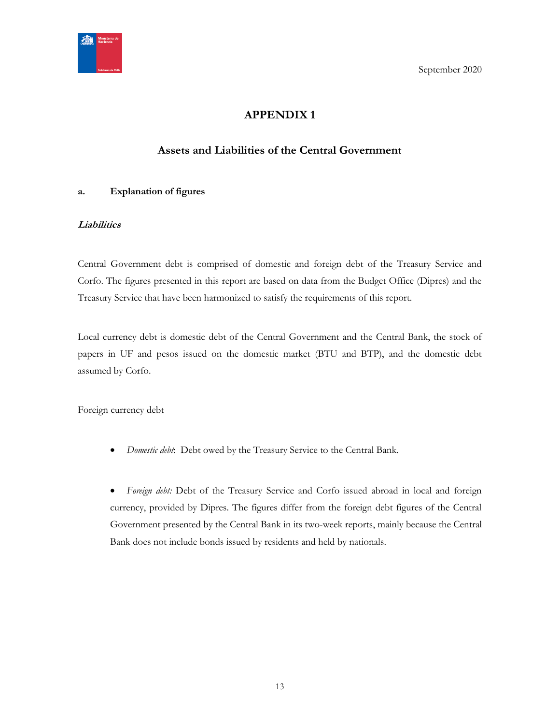<span id="page-12-0"></span>

September 2020

# **APPENDIX 1**

# **Assets and Liabilities of the Central Government**

## <span id="page-12-1"></span>**a. Explanation of figures**

## **Liabilities**

Central Government debt is comprised of domestic and foreign debt of the Treasury Service and Corfo. The figures presented in this report are based on data from the Budget Office (Dipres) and the Treasury Service that have been harmonized to satisfy the requirements of this report.

Local currency debt is domestic debt of the Central Government and the Central Bank, the stock of papers in UF and pesos issued on the domestic market (BTU and BTP), and the domestic debt assumed by Corfo.

## Foreign currency debt

*Domestic debt*: Debt owed by the Treasury Service to the Central Bank.

 *Foreign debt:* Debt of the Treasury Service and Corfo issued abroad in local and foreign currency, provided by Dipres. The figures differ from the foreign debt figures of the Central Government presented by the Central Bank in its two-week reports, mainly because the Central Bank does not include bonds issued by residents and held by nationals.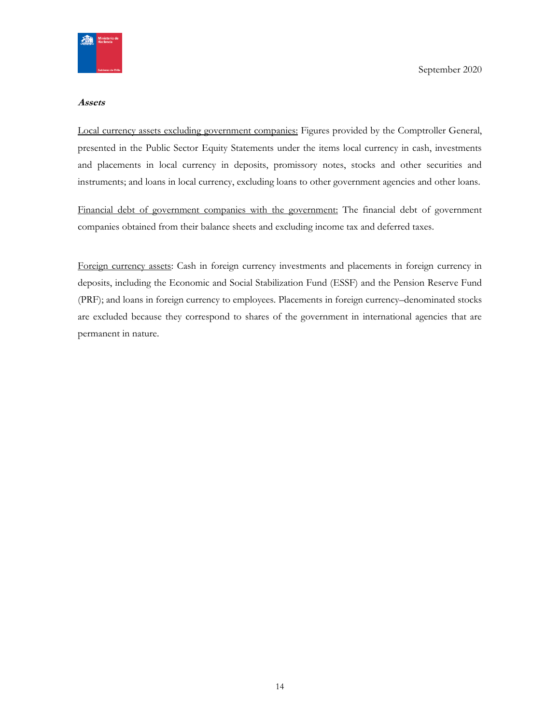

#### **Assets**

Local currency assets excluding government companies: Figures provided by the Comptroller General, presented in the Public Sector Equity Statements under the items local currency in cash, investments and placements in local currency in deposits, promissory notes, stocks and other securities and instruments; and loans in local currency, excluding loans to other government agencies and other loans.

Financial debt of government companies with the government: The financial debt of government companies obtained from their balance sheets and excluding income tax and deferred taxes.

Foreign currency assets: Cash in foreign currency investments and placements in foreign currency in deposits, including the Economic and Social Stabilization Fund (ESSF) and the Pension Reserve Fund (PRF); and loans in foreign currency to employees. Placements in foreign currency–denominated stocks are excluded because they correspond to shares of the government in international agencies that are permanent in nature.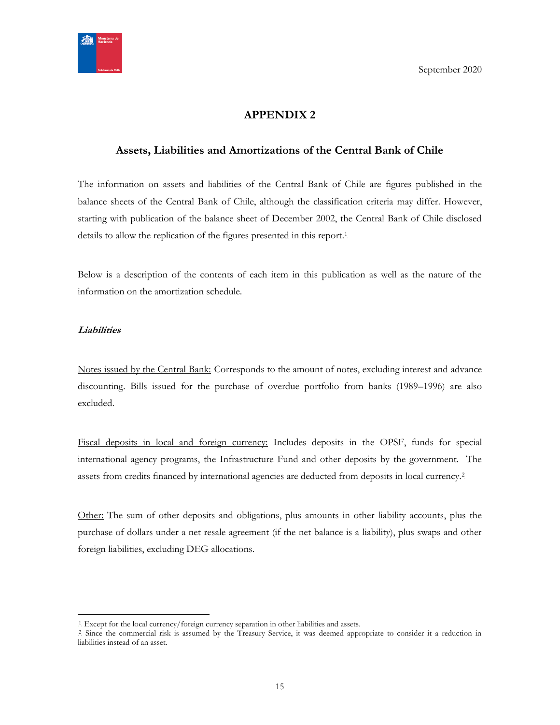

# **APPENDIX 2**

## <span id="page-14-1"></span><span id="page-14-0"></span>**Assets, Liabilities and Amortizations of the Central Bank of Chile**

The information on assets and liabilities of the Central Bank of Chile are figures published in the balance sheets of the Central Bank of Chile, although the classification criteria may differ. However, starting with publication of the balance sheet of December 2002, the Central Bank of Chile disclosed details to allow the replication of the figures presented in this report.<sup>1</sup>

Below is a description of the contents of each item in this publication as well as the nature of the information on the amortization schedule.

## **Liabilities**

 $\overline{a}$ 

Notes issued by the Central Bank: Corresponds to the amount of notes, excluding interest and advance discounting. Bills issued for the purchase of overdue portfolio from banks (1989–1996) are also excluded.

Fiscal deposits in local and foreign currency: Includes deposits in the OPSF, funds for special international agency programs, the Infrastructure Fund and other deposits by the government. The assets from credits financed by international agencies are deducted from deposits in local currency.<sup>2</sup>

Other: The sum of other deposits and obligations, plus amounts in other liability accounts, plus the purchase of dollars under a net resale agreement (if the net balance is a liability), plus swaps and other foreign liabilities, excluding DEG allocations.

<sup>&</sup>lt;sup>1</sup>. Except for the local currency/foreign currency separation in other liabilities and assets.

<sup>&</sup>lt;sup>2</sup> Since the commercial risk is assumed by the Treasury Service, it was deemed appropriate to consider it a reduction in liabilities instead of an asset.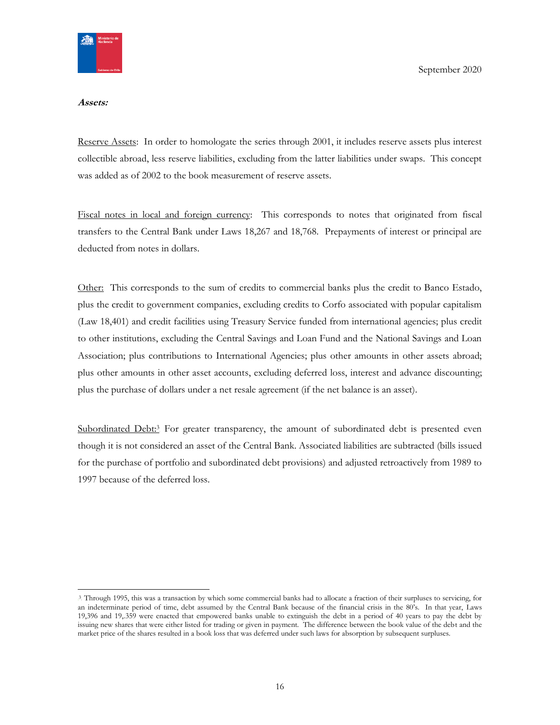

#### **Assets:**

Reserve Assets: In order to homologate the series through 2001, it includes reserve assets plus interest collectible abroad, less reserve liabilities, excluding from the latter liabilities under swaps. This concept was added as of 2002 to the book measurement of reserve assets.

Fiscal notes in local and foreign currency: This corresponds to notes that originated from fiscal transfers to the Central Bank under Laws 18,267 and 18,768. Prepayments of interest or principal are deducted from notes in dollars.

Other: This corresponds to the sum of credits to commercial banks plus the credit to Banco Estado, plus the credit to government companies, excluding credits to Corfo associated with popular capitalism (Law 18,401) and credit facilities using Treasury Service funded from international agencies; plus credit to other institutions, excluding the Central Savings and Loan Fund and the National Savings and Loan Association; plus contributions to International Agencies; plus other amounts in other assets abroad; plus other amounts in other asset accounts, excluding deferred loss, interest and advance discounting; plus the purchase of dollars under a net resale agreement (if the net balance is an asset).

Subordinated Debt:<sup>3</sup> For greater transparency, the amount of subordinated debt is presented even though it is not considered an asset of the Central Bank. Associated liabilities are subtracted (bills issued for the purchase of portfolio and subordinated debt provisions) and adjusted retroactively from 1989 to 1997 because of the deferred loss.

<sup>3</sup> Through 1995, this was a transaction by which some commercial banks had to allocate a fraction of their surpluses to servicing, for an indeterminate period of time, debt assumed by the Central Bank because of the financial crisis in the 80's. In that year, Laws 19,396 and 19,.359 were enacted that empowered banks unable to extinguish the debt in a period of 40 years to pay the debt by issuing new shares that were either listed for trading or given in payment. The difference between the book value of the debt and the market price of the shares resulted in a book loss that was deferred under such laws for absorption by subsequent surpluses.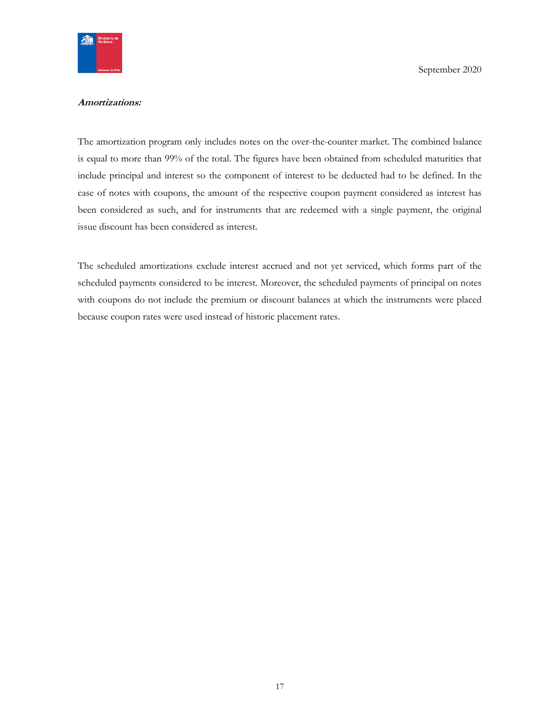

## **Amortizations:**

The amortization program only includes notes on the over-the-counter market. The combined balance is equal to more than 99% of the total. The figures have been obtained from scheduled maturities that include principal and interest so the component of interest to be deducted had to be defined. In the case of notes with coupons, the amount of the respective coupon payment considered as interest has been considered as such, and for instruments that are redeemed with a single payment, the original issue discount has been considered as interest.

The scheduled amortizations exclude interest accrued and not yet serviced, which forms part of the scheduled payments considered to be interest. Moreover, the scheduled payments of principal on notes with coupons do not include the premium or discount balances at which the instruments were placed because coupon rates were used instead of historic placement rates.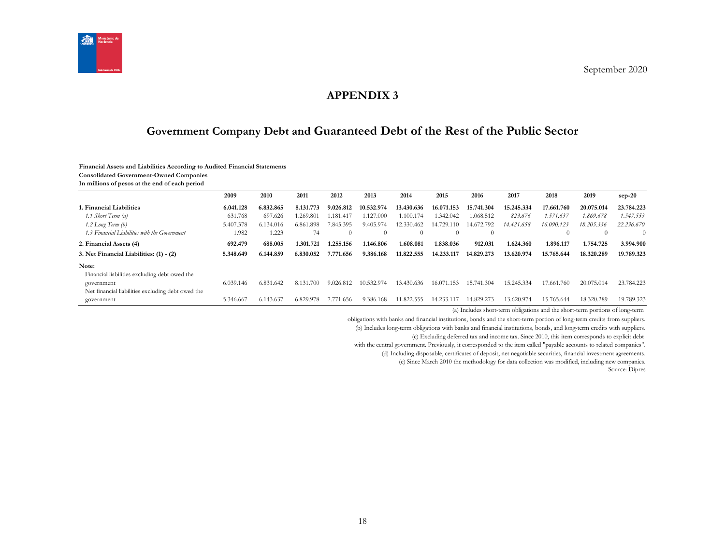

# **APPENDIX 3**

# **Government Company Debt and Guaranteed Debt of the Rest of the Public Sector**

#### **Financial Assets and Liabilities According to Audited Financial Statements**

**Consolidated Government-Owned Companies**

**In millions of pesos at the end of each period**

<span id="page-17-1"></span><span id="page-17-0"></span>

|                                                   | 2009      | 2010      | 2011          | 2012           | 2013       | 2014       | 2015           | 2016       | 2017       | 2018               | 2019       | $sep-20$   |
|---------------------------------------------------|-----------|-----------|---------------|----------------|------------|------------|----------------|------------|------------|--------------------|------------|------------|
| 1. Financial Liabilities                          | 6.041.128 | 6.832.865 | 8.131.773     | 9.026.812      | 10.532.974 | 13.430.636 | 16.071.153     | 15.741.304 | 15.245.334 | 17.661.760         | 20.075.014 | 23.784.223 |
| 1.1 Short Term (a)                                | 631.768   | 697.626   | .269.801      | 1.181.417      | .127.000   | 1.100.174  | 1.342.042      | 1.068.512  | 823.676    | 1.571.637          | 1.869.678  | 1.547.553  |
| $1.2$ Long Term $(b)$                             | 5.407.378 | 6.134.016 | 6.861.898     | 7.845.395      | 9.405.974  | 12.330.462 | 14.729.<br>110 | 14.672.792 | 14.421.658 | 16.090.123         | 18.205.336 | 22.236.670 |
| 1.3 Financial Liabilities with the Government     | 1.982     | 1.223     | 74            | $\Omega$       | $\theta$   |            | $\Omega$       | $\theta$   |            | $\left( 0 \right)$ | $\Omega$   | $\Omega$   |
| 2. Financial Assets (4)                           | 692.479   | 688.005   | 1.301.721     | 1.255.156      | 1.146.806  | 1.608.081  | 1.838.036      | 912.031    | 1.624.360  | 1.896.117          | 1.754.725  | 3.994.900  |
| 3. Net Financial Liabilities: (1) - (2)           | 5.348.649 | 6.144.859 | 6.830.052     | 7.771<br>1.656 | 9.386.168  | 11.822.555 | 14.233.117     | 14.829.273 | 13.620.974 | 15.765.644         | 18.320.289 | 19.789.323 |
| Note:                                             |           |           |               |                |            |            |                |            |            |                    |            |            |
| Financial liabilities excluding debt owed the     |           |           |               |                |            |            |                |            |            |                    |            |            |
| government                                        | 6.039.146 | 6.831.642 | 8.131.<br>700 | 9.026.812      | 10.532.974 | 13.430.636 | 16.071.153     | 15.741.304 | 15.245.334 | 17.661.760         | 20.075.014 | 23.784.223 |
| Net financial liabilities excluding debt owed the |           |           |               |                |            |            |                |            |            |                    |            |            |
| government                                        | 5.346.667 | 6.143.637 | 6.829.978     | 1.656<br>7.77  | 9.386.168  | 1.822.555  | 4.233.1        | 14.829.273 | 13.620.974 | 15.765.644         | 18.320.289 | 19.789.323 |

(a) Includes short-term obligations and the short-term portions of long-term

obligations with banks and financial institutions, bonds and the short-term portion of long-term credits from suppliers.

(b) Includes long-term obligations with banks and financial institutions, bonds, and long-term credits with suppliers.

(c) Excluding deferred tax and income tax. Since 2010, this item corresponds to explicit debt

with the central government. Previously, it corresponded to the item called "payable accounts to related companies".

(d) Including disposable, certificates of deposit, net negotiable securities, financial investment agreements.

(e) Since March 2010 the methodology for data collection was modified, including new companies.

Source: Dipres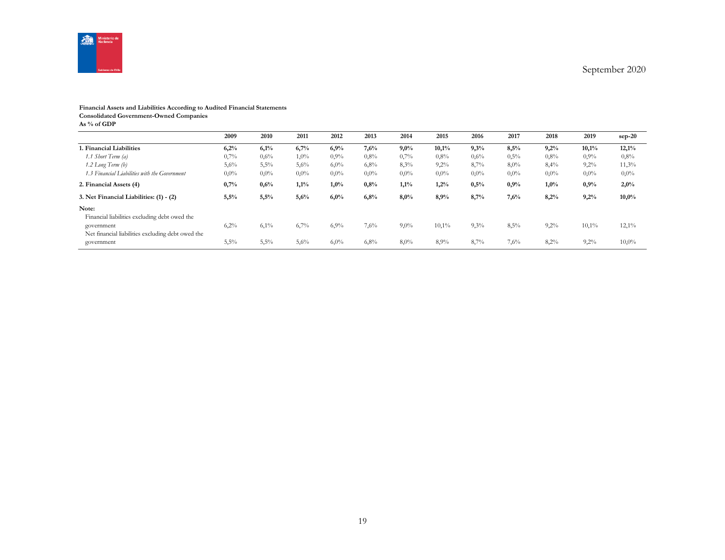

## **Financial Assets and Liabilities According to Audited Financial Statements**

**Consolidated Government-Owned Companies**

**As % of GDP**

|                                                                 | 2009    | 2010    | 2011    | 2012    | 2013    | 2014    | 2015    | 2016    | 2017    | 2018    | 2019    | $sep-20$ |
|-----------------------------------------------------------------|---------|---------|---------|---------|---------|---------|---------|---------|---------|---------|---------|----------|
| 1. Financial Liabilities                                        | 6,2%    | 6,1%    | 6,7%    | 6,9%    | 7,6%    | 9,0%    | 10,1%   | 9,3%    | 8,5%    | 9,2%    | 10,1%   | 12,1%    |
| 1.1 Short Term (a)                                              | 0,7%    | 0.6%    | $1,0\%$ | 0.9%    | 0,8%    | 0,7%    | 0.8%    | 0,6%    | 0,5%    | 0,8%    | 0,9%    | 0,8%     |
| 1.2 Long Term (b)                                               | 5,6%    | 5,5%    | 5,6%    | $6,0\%$ | 6,8%    | 8,3%    | $9,2\%$ | 8,7%    | 8,0%    | 8,4%    | 9,2%    | 11,3%    |
| 1.3 Financial Liabilities with the Government                   | $0.0\%$ | $0.0\%$ | $0.0\%$ | $0,0\%$ | $0,0\%$ | $0.0\%$ | $0.0\%$ | $0,0\%$ | $0.0\%$ | $0,0\%$ | $0,0\%$ | $0,0\%$  |
| 2. Financial Assets (4)                                         | 0,7%    | 0,6%    | 1,1%    | 1,0%    | 0,8%    | $1,1\%$ | 1,2%    | 0,5%    | 0,9%    | 1,0%    | 0,9%    | 2,0%     |
| 3. Net Financial Liabilities: (1) - (2)                         | 5,5%    | 5,5%    | 5,6%    | 6,0%    | 6,8%    | 8,0%    | 8,9%    | 8,7%    | 7,6%    | 8,2%    | 9,2%    | 10,0%    |
| Note:<br>Financial liabilities excluding debt owed the          |         |         |         |         |         |         |         |         |         |         |         |          |
| government<br>Net financial liabilities excluding debt owed the | 6,2%    | 6,1%    | 6,7%    | 6,9%    | 7,6%    | $9,0\%$ | 10,1%   | 9,3%    | 8,5%    | 9,2%    | 10,1%   | 12,1%    |
| government                                                      | 5,5%    | 5,5%    | 5,6%    | 6,0%    | 6,8%    | 8,0%    | 8,9%    | 8,7%    | 7,6%    | 8,2%    | 9,2%    | 10,0%    |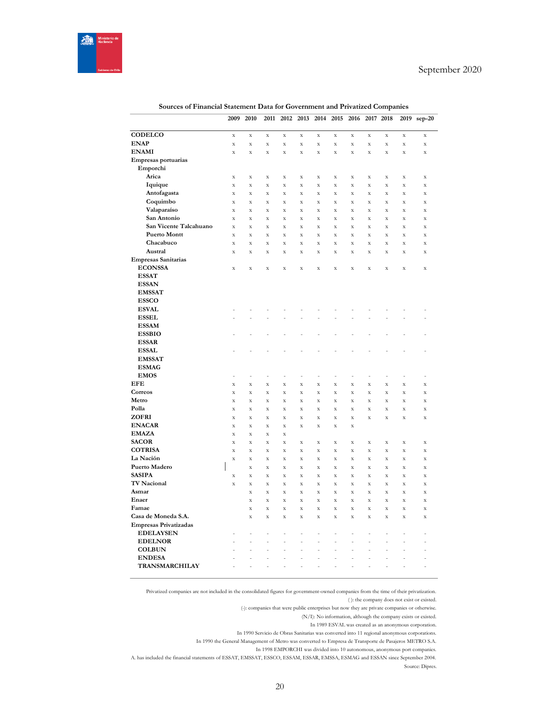

|                              | 2009                       | 2010                     | 2011               | 2012                     | 2013                    | 2014                       | 2015                              | 2016               |                            | 2017 2018          | 2019               | $sep-20$                   |
|------------------------------|----------------------------|--------------------------|--------------------|--------------------------|-------------------------|----------------------------|-----------------------------------|--------------------|----------------------------|--------------------|--------------------|----------------------------|
|                              |                            |                          |                    |                          |                         |                            |                                   |                    |                            |                    |                    |                            |
| CODELCO                      | $\mathbf X$                | $\mathbf X$              | $\mathbf X$        | $\mathbf X$              | $\mathbf X$             | $\mathbf X$                | $\bar{\mathbf{X}}$                | $\mathbf X$        | $\mathbf X$                | $\mathbf X$        | $\mathbf X$        | $\mathbf X$                |
| <b>ENAP</b>                  | $\mathbf X$                | $\mathbf X$              | $\mathbf X$        | $\mathbf X$              | $\mathbf X$             | $\mathbf X$                | $\mathbf X$                       | X                  | $\mathbf X$                | X                  | $\mathbf X$        | $\mathbf X$                |
| <b>ENAMI</b>                 | $\mathbf X$                | $\bar{\mathbf{X}}$       | $\bar{\mathbf{x}}$ | $\bar{\mathbf{X}}$       | $\bar{\mathbf{x}}$      | $\bar{\mathbf{X}}$         | $\bar{X}$                         | $\bar{x}$          | $\mathbf X$                | $\bar{X}$          | X                  | $\mathbf X$                |
| Empresas portuarias          |                            |                          |                    |                          |                         |                            |                                   |                    |                            |                    |                    |                            |
| Emporchi<br>Arica            |                            |                          |                    |                          |                         |                            |                                   |                    |                            |                    |                    |                            |
|                              | $\mathbf X$                | $\mathbf X$              | $\mathbf X$        | $\mathbf X$              | $\mathbf X$             | $\mathbf X$                | $\mathbf X$                       | $\mathbf X$        | $\mathbf X$                | $\mathbf X$        | $\mathbf X$        | $\mathbf X$                |
| Iquique                      | $\bar{\mathbf{X}}$         | $\bar{\mathbf{X}}$       | $\bar{\mathbf{x}}$ | $\bar{\mathbf{X}}$       | $\bar{\mathbf{x}}$      | $\bar{\mathbf{X}}$         | $\bar{\mathbf{x}}$                | $\bar{X}$          | $\mathbf X$                | $\mathbf X$        | $\bar{\mathbf{x}}$ | $\bar{\mathbf{X}}$         |
| Antofagasta<br>Coquimbo      | $\mathbf X$<br>$\mathbf X$ | $\mathbf X$<br>$\bar{X}$ | $\mathbf X$<br>X   | $\mathbf X$<br>$\bar{X}$ | X<br>$\bar{\mathbf{X}}$ | $\mathbf X$<br>$\mathbf X$ | $\mathbf X$<br>$\bar{\mathbf{X}}$ | $\mathbf X$<br>X   | $\mathbf X$<br>$\mathbf X$ | $\mathbf x$<br>X   | X<br>X             | $\mathbf X$<br>$\mathbf X$ |
| Valaparaíso                  | $\bar{\mathbf{X}}$         | $\bar{\mathbf{X}}$       | $\bar{X}$          | $\bar{\mathbf{X}}$       | $\bar{\mathbf{x}}$      | $\bar{\mathbf{X}}$         | $\bar{\mathbf{x}}$                | $\bar{\mathbf{x}}$ | $\mathbf X$                | $\bar{\mathbf{X}}$ | $\bar{\mathbf{x}}$ | $\bar{\mathbf{X}}$         |
| San Antonio                  | $\mathbf X$                | $\mathbf X$              | X                  | $\mathbf X$              | $\mathbf X$             | $\mathbf X$                | $\mathbf X$                       | $\mathbf X$        | $\mathbf X$                | $\mathbf X$        | $\mathbf X$        | $\mathbf X$                |
| San Vicente Talcahuano       | $\bar{\mathbf{x}}$         | $\bar{\mathbf{x}}$       | $\bar{\mathbf{x}}$ | $\mathbf X$              | $\bar{\mathbf{x}}$      | $\mathbf X$                | $\bar{\mathbf{x}}$                | $\bar{\mathbf{x}}$ | $\mathbf X$                | $\mathbf X$        | $\mathbf X$        | $\mathbf X$                |
| <b>Puerto Montt</b>          | $\mathbf X$                | $\mathbf X$              | $\mathbf X$        | $\mathbf X$              | $\mathbf X$             | $\mathbf X$                | $\mathbf X$                       | $\mathbf X$        | $\mathbf X$                | $\mathbf X$        | $\mathbf X$        | $\mathbf X$                |
| Chacabuco                    | $\mathbf X$                | $\mathbf X$              | $\bar{\mathbf{x}}$ | $\mathbf X$              | $\bar{\mathbf{x}}$      | $\mathbf X$                | $\bar{\mathbf{x}}$                | $\bar{\mathbf{x}}$ | $\mathbf X$                | $\bar{\mathbf{x}}$ | $\mathbf x$        | $\bar{\mathbf{x}}$         |
| Austral                      | $\mathbf X$                | $\mathbf X$              | $\bar{X}$          | $\mathbf X$              | $\bar{\mathbf{X}}$      | $\mathbf X$                | $\bar{\mathbf{X}}$                | $\bar{X}$          | $\mathbf X$                | $\bar{X}$          | X                  | $\mathbf X$                |
| <b>Empresas Sanitarias</b>   |                            |                          |                    |                          |                         |                            |                                   |                    |                            |                    |                    |                            |
| <b>ECONSSA</b>               | $\mathbf X$                | $\mathbf X$              | $\bar{X}$          | $\mathbf X$              | $\mathbf X$             | $\mathbf X$                | $\bar{\mathbf{X}}$                | $\mathbf X$        | $\mathbf X$                | $\mathbf X$        | $\bar{\mathbf{x}}$ | $\mathbf X$                |
| <b>ESSAT</b>                 |                            |                          |                    |                          |                         |                            |                                   |                    |                            |                    |                    |                            |
| <b>ESSAN</b>                 |                            |                          |                    |                          |                         |                            |                                   |                    |                            |                    |                    |                            |
| <b>EMSSAT</b>                |                            |                          |                    |                          |                         |                            |                                   |                    |                            |                    |                    |                            |
| <b>ESSCO</b>                 |                            |                          |                    |                          |                         |                            |                                   |                    |                            |                    |                    |                            |
| <b>ESVAL</b>                 |                            |                          |                    |                          |                         |                            |                                   |                    |                            |                    |                    |                            |
| <b>ESSEL</b>                 |                            |                          |                    |                          |                         |                            |                                   |                    |                            |                    |                    | $\overline{a}$             |
| <b>ESSAM</b>                 |                            |                          |                    |                          |                         |                            |                                   |                    |                            |                    |                    |                            |
| <b>ESSBIO</b>                |                            |                          |                    |                          |                         |                            |                                   |                    |                            |                    |                    |                            |
| <b>ESSAR</b>                 |                            |                          |                    |                          |                         |                            |                                   |                    |                            |                    |                    |                            |
| <b>ESSAL</b>                 |                            |                          |                    |                          |                         |                            |                                   |                    |                            |                    |                    | $\overline{a}$             |
| <b>EMSSAT</b>                |                            |                          |                    |                          |                         |                            |                                   |                    |                            |                    |                    |                            |
| <b>ESMAG</b>                 |                            |                          |                    |                          |                         |                            |                                   |                    |                            |                    |                    |                            |
| <b>EMOS</b>                  | $\overline{a}$             | $\overline{a}$           | Ĭ.                 | ÷,                       | $\overline{a}$          | L,                         | Ĭ.                                | $\overline{a}$     | ÷,                         | $\overline{a}$     | J.                 | L,                         |
| EFE                          | $\mathbf X$                | X                        | X                  | $\mathbf X$              | $\mathbf X$             | $\mathbf X$                | $\mathbf X$                       | X                  | $\mathbf X$                | X                  | X                  | $\mathbf X$                |
| Correos                      | $\mathbf X$                | $\bar{\mathbf{x}}$       | $\bar{\mathbf{x}}$ | $\mathbf X$              | $\bar{\mathbf{x}}$      | $\bar{X}$                  | $\bar{\mathbf{x}}$                | $\bar{\mathbf{x}}$ | $\mathbf x$                | $\mathbf X$        | $\bar{X}$          | $\bar{X}$                  |
| Metro                        | $\mathbf X$                | $\mathbf X$              | X                  | $\mathbf X$              | $\mathbf X$             | $\mathbf X$                | $\mathbf X$                       | X                  | $\mathbf X$                | X                  | X                  | $\mathbf X$                |
| Polla                        | $\bar{\mathbf{x}}$         | $\bar{\mathbf{x}}$       | $\bar{\mathbf{x}}$ | $\bar{\mathbf{X}}$       | $\bar{\mathbf{x}}$      | $\bar{\mathbf{x}}$         | $\bar{\mathbf{x}}$                | $\bar{X}$          | $\bar{\mathbf{x}}$         | $\bar{\mathbf{x}}$ | $\bar{x}$          | $\bar{\mathbf{X}}$         |
| ZOFRI                        | $\mathbf X$                | $\mathbf X$              | X                  | $\mathbf X$              | $\mathbf X$             | $\mathbf X$                | $\mathbf X$                       | $\mathbf X$        | $\mathbf X$                | $\mathbf X$        | X                  | $\mathbf X$                |
| <b>ENACAR</b>                | $\mathbf X$                | $\mathbf X$              | $\bar{\mathbf{x}}$ | $\mathbf X$              | $\bar{\mathbf{x}}$      | $\mathbf X$                | $\bar{\mathbf{x}}$                | X                  |                            |                    |                    |                            |
| <b>EMAZA</b>                 | X                          | $\mathbf X$              | X                  | $\mathbf X$              |                         |                            |                                   |                    |                            |                    |                    |                            |
| <b>SACOR</b>                 | $\mathbf X$                | X                        | X                  | $\mathbf X$              | $\mathbf X$             | $\mathbf X$                | $\mathbf X$                       | $\mathbf X$        | $\mathbf X$                | X                  | X                  | $\mathbf X$                |
| <b>COTRISA</b>               | $\mathbf X$                | $\mathbf X$              | $\bar{X}$          | $\mathbf X$              | $\mathbf X$             | $\mathbf X$                | $\bar{\mathbf{X}}$                | $\bar{X}$          | $\mathbf X$                | $\mathbf X$        | $\mathbf X$        | $\mathbf X$                |
| La Nación                    | $\mathbf X$                | X                        | X                  | $\mathbf X$              | $\mathbf X$             | $\mathbf X$                | $\mathbf X$                       | X                  | $\mathbf X$                | X                  | X                  | X                          |
| Puerto Madero                |                            | $\mathbf X$              | $\bar{X}$          | $\mathbf X$              | $\mathbf X$             | $\mathbf X$                | $\bar{\mathbf{X}}$                | $\mathbf X$        | $\mathbf X$                | $\mathbf X$        | X                  | $\mathbf X$                |
| <b>SASIPA</b>                | $\mathbf X$                | $\mathbf X$              | X                  | $\mathbf X$              | $\mathbf X$             | $\mathbf X$                | $\mathbf X$                       | $\mathbf X$        | $\mathbf X$                | $\mathbf X$        | $\mathbf X$        | $\mathbf X$                |
| <b>TV Nacional</b>           | $\mathbf X$                | $\mathbf X$              | $\mathbf X$        | $\mathbf X$              | $\mathbf X$             | $\mathbf X$                | $\mathbf X$                       | X                  | $\mathbf X$                | X                  | $\mathbf X$        | $\mathbf X$                |
| Asmar                        |                            | $\mathbf X$              | $\bar{\mathbf{x}}$ | $\bar{\mathbf{X}}$       | $\bar{\mathbf{x}}$      | $\bar{\mathbf{x}}$         | $\bar{\mathbf{X}}$                | $\bar{X}$          | $\bar{\mathbf{x}}$         | $\mathbf X$        | $\bar{\mathbf{x}}$ | $\bar{\mathbf{x}}$         |
| Enaer                        |                            | $\mathbf X$              | X                  | $\mathbf X$              | $\mathbf X$             | $\mathbf X$                | $\mathbf X$                       | $\mathbf X$        | $\mathbf X$                | $\mathbf X$        | X                  | $\mathbf X$                |
| Famae                        |                            | $\mathbf X$              | $\bar{\mathbf{x}}$ | $\mathbf X$              | $\mathbf X$             | $\mathbf X$                | $\bar{\mathbf{x}}$                | $\rm X$            | $\mathbf X$                | $\mathbf X$        | $\mathbf x$        | $\mathbf X$                |
| Casa de Moneda S.A.          |                            | $\mathbf X$              | X                  | $\mathbf X$              | $\mathbf X$             | $\mathbf X$                | $\mathbf X$                       | X                  | $\mathbf X$                | $\mathbf X$        | X                  | $\mathbf X$                |
| <b>Empresas Privatizadas</b> |                            |                          |                    |                          |                         |                            |                                   |                    |                            |                    |                    |                            |
| <b>EDELAYSEN</b>             |                            | ÷                        | Ĭ.                 | ÷                        | $\overline{a}$          | ÷,                         | ÷                                 | ÷                  | ÷                          | ÷                  | Ĭ.                 | Ē,                         |
| <b>EDELNOR</b>               | $\overline{a}$             | ÷,                       | L,                 | ÷,                       | L,                      | L,                         | L,                                | $\overline{a}$     | ÷,                         | L,                 | $\overline{a}$     | $\overline{a}$             |
| <b>COLBUN</b>                |                            | -                        | ÷,                 | -                        | -                       | $\overline{a}$             | ÷                                 | -                  | ÷                          | -                  |                    | ÷                          |
| <b>ENDESA</b>                | $\overline{a}$             | $\overline{a}$           | L,                 | L,                       | $\overline{a}$          | $\overline{a}$             | $\overline{a}$                    | $\overline{a}$     | ÷,                         | $\overline{a}$     | $\overline{a}$     | $\overline{a}$             |
| TRANSMARCHILAY               | $\overline{a}$             | ÷                        | Ĭ.                 | ÷,                       | $\overline{a}$          | ÷,                         | ÷                                 | ÷                  | Ĭ.                         | ÷                  | $\overline{a}$     | ÷                          |

**Sources of Financial Statement Data for Government and Privatized Companies**

Privatized companies are not included in the consolidated figures for government-owned companies from the time of their privatization. ( ): the company does not exist or existed.

(-): companies that were public enterprises but now they are private companies or otherwise.

(N/I): No information, although the company exists or existed.

In 1989 ESVAL was created as an anonymous corporation.

In 1990 Servicio de Obras Sanitarias was converted into 11 regional anonymous corporations.

In 1990 the General Management of Metro was converted to Empresa de Transporte de Pasajeros METRO S.A.

In 1998 EMPORCHI was divided into 10 autonomous, anonymous port companies.

ESSAN S. A. has included the financial statements of ESSAT, EMSSAT, ESSCO, ESSAM, ESSAR, EMSSA, ESMAG and ESSAN since September 2004. Source: Dipres.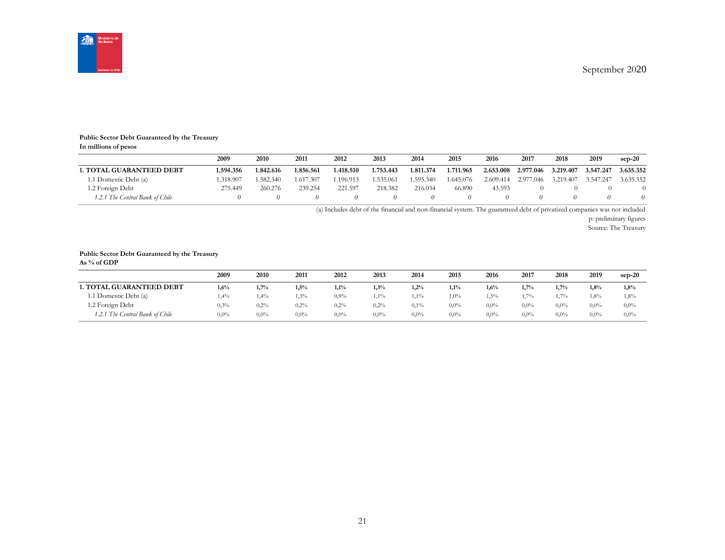September 2020



#### **Public Sector Debt Guaranteed by the Treasury In millions of pesos**

|                                 | 2009     | 2010      | 2011      | 2012      | 2013      | 2014      | 2015      | 2016      | 2017      | 2018      | 2019      | $sep-20$  |
|---------------------------------|----------|-----------|-----------|-----------|-----------|-----------|-----------|-----------|-----------|-----------|-----------|-----------|
| <b>1. TOTAL GUARANTEED DEBT</b> | .594.356 | 1.842.616 | .856.561  | 1.418.510 | 1.753.443 | 1.811.374 | 1.711.965 | 2.653.008 | 2.977.046 | 3.219.407 | 3.547.247 | 3.635.352 |
| 1.1 Domestic Debt (a)           | .318.907 | 1.582.340 | 1.617.307 | .196.913  | 1.535.061 | 1.595.340 | .645.076  | 2.609.414 | 2.977.046 | 3.219.407 | 3.547.247 | 3.635.352 |
| 1.2 Foreign Debt                | 275.449  | 260.276   | 239.254   | 221.597   | 218.382   | 216.034   | 66.890    | 43.593    |           |           |           |           |
| 1.2.1 The Central Bank of Chile |          |           |           |           |           |           |           |           |           |           |           |           |

(a) Includes debt of the financial and non-financial system. The guaranteed debt of privatized companies was not included

p: preliminary figures

Source: The Treasury

#### **Public Sector Debt Guaranteed by the Treasury**

| As $%$ of GDP                   |      |             |         |         |         |         |         |         |         |         |         |          |
|---------------------------------|------|-------------|---------|---------|---------|---------|---------|---------|---------|---------|---------|----------|
|                                 | 2009 | <b>2010</b> | 2011    | 2012    | 2013    | 2014    | 2015    | 2016    | 2017    | 2018    | 2019    | $sep-20$ |
| <b>1. TOTAL GUARANTEED DEBT</b> | 1,6% | 1,7%        | 1,5%    | 1,1%    | 1,3%    | 1,2%    | 1,1%    | 1,6%    | 1.7%    | 1,7%    | 1,8%    | 1,8%     |
| 1.1 Domestic Debt (a)           | 1,4% | 1,4%        | 1,3%    | $0.9\%$ | $1,1\%$ | 1,1%    | 1,0%    | 1,5%    | $1.7\%$ | 1,7%    | 1,8%    | 1,8%     |
| 1.2 Foreign Debt                | 0,3% | $0.2\%$     | 0,2%    | 0,2%    | 0,2%    | 0,1%    | $0.0\%$ | 0,0%    | $0.0\%$ | $0.0\%$ | $0.0\%$ | $0,0\%$  |
| 1.2.1 The Central Bank of Chile | 0,0% | $0.0\%$     | $0,0\%$ | $0.0\%$ | $0.0\%$ | $0.0\%$ | $0.0\%$ | $0.0\%$ | $0.0\%$ | $0.0\%$ | $0.0\%$ | $0.0\%$  |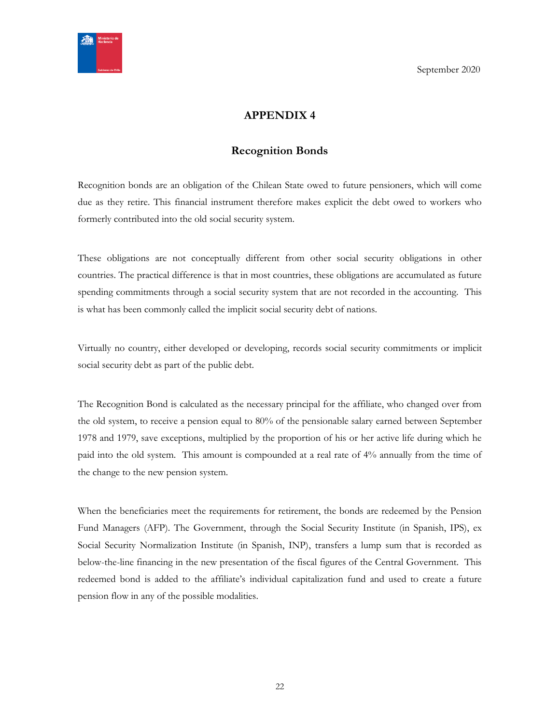<span id="page-21-0"></span>

# <span id="page-21-1"></span>**APPENDIX 4**

# **Recognition Bonds**

Recognition bonds are an obligation of the Chilean State owed to future pensioners, which will come due as they retire. This financial instrument therefore makes explicit the debt owed to workers who formerly contributed into the old social security system.

These obligations are not conceptually different from other social security obligations in other countries. The practical difference is that in most countries, these obligations are accumulated as future spending commitments through a social security system that are not recorded in the accounting. This is what has been commonly called the implicit social security debt of nations.

Virtually no country, either developed or developing, records social security commitments or implicit social security debt as part of the public debt.

The Recognition Bond is calculated as the necessary principal for the affiliate, who changed over from the old system, to receive a pension equal to 80% of the pensionable salary earned between September 1978 and 1979, save exceptions, multiplied by the proportion of his or her active life during which he paid into the old system. This amount is compounded at a real rate of 4% annually from the time of the change to the new pension system.

When the beneficiaries meet the requirements for retirement, the bonds are redeemed by the Pension Fund Managers (AFP). The Government, through the Social Security Institute (in Spanish, IPS), ex Social Security Normalization Institute (in Spanish, INP), transfers a lump sum that is recorded as below-the-line financing in the new presentation of the fiscal figures of the Central Government. This redeemed bond is added to the affiliate's individual capitalization fund and used to create a future pension flow in any of the possible modalities.